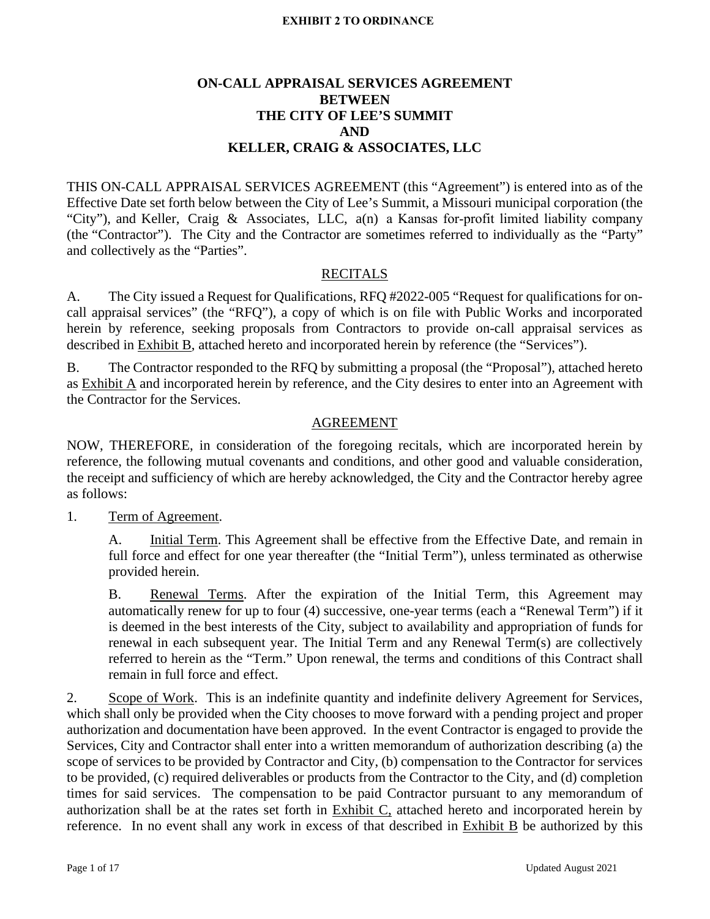## **ON-CALL APPRAISAL SERVICES AGREEMENT BETWEEN THE CITY OF LEE'S SUMMIT AND KELLER, CRAIG & ASSOCIATES, LLC**

THIS ON-CALL APPRAISAL SERVICES AGREEMENT (this "Agreement") is entered into as of the Effective Date set forth below between the City of Lee's Summit, a Missouri municipal corporation (the "City"), and Keller, Craig & Associates, LLC, a(n) a Kansas for-profit limited liability company (the "Contractor"). The City and the Contractor are sometimes referred to individually as the "Party" and collectively as the "Parties".

## RECITALS

A. The City issued a Request for Qualifications, RFQ #2022-005 "Request for qualifications for oncall appraisal services" (the "RFQ"), a copy of which is on file with Public Works and incorporated herein by reference, seeking proposals from Contractors to provide on-call appraisal services as described in Exhibit B, attached hereto and incorporated herein by reference (the "Services").

B. The Contractor responded to the RFQ by submitting a proposal (the "Proposal"), attached hereto as Exhibit A and incorporated herein by reference, and the City desires to enter into an Agreement with the Contractor for the Services.

### AGREEMENT

NOW, THEREFORE, in consideration of the foregoing recitals, which are incorporated herein by reference, the following mutual covenants and conditions, and other good and valuable consideration, the receipt and sufficiency of which are hereby acknowledged, the City and the Contractor hereby agree as follows:

1. Term of Agreement.

A. Initial Term. This Agreement shall be effective from the Effective Date, and remain in full force and effect for one year thereafter (the "Initial Term"), unless terminated as otherwise provided herein.

B. Renewal Terms. After the expiration of the Initial Term, this Agreement may automatically renew for up to four (4) successive, one-year terms (each a "Renewal Term") if it is deemed in the best interests of the City, subject to availability and appropriation of funds for renewal in each subsequent year. The Initial Term and any Renewal Term(s) are collectively referred to herein as the "Term." Upon renewal, the terms and conditions of this Contract shall remain in full force and effect.

2. Scope of Work. This is an indefinite quantity and indefinite delivery Agreement for Services, which shall only be provided when the City chooses to move forward with a pending project and proper authorization and documentation have been approved. In the event Contractor is engaged to provide the Services, City and Contractor shall enter into a written memorandum of authorization describing (a) the scope of services to be provided by Contractor and City, (b) compensation to the Contractor for services to be provided, (c) required deliverables or products from the Contractor to the City, and (d) completion times for said services. The compensation to be paid Contractor pursuant to any memorandum of authorization shall be at the rates set forth in Exhibit C, attached hereto and incorporated herein by reference. In no event shall any work in excess of that described in Exhibit B be authorized by this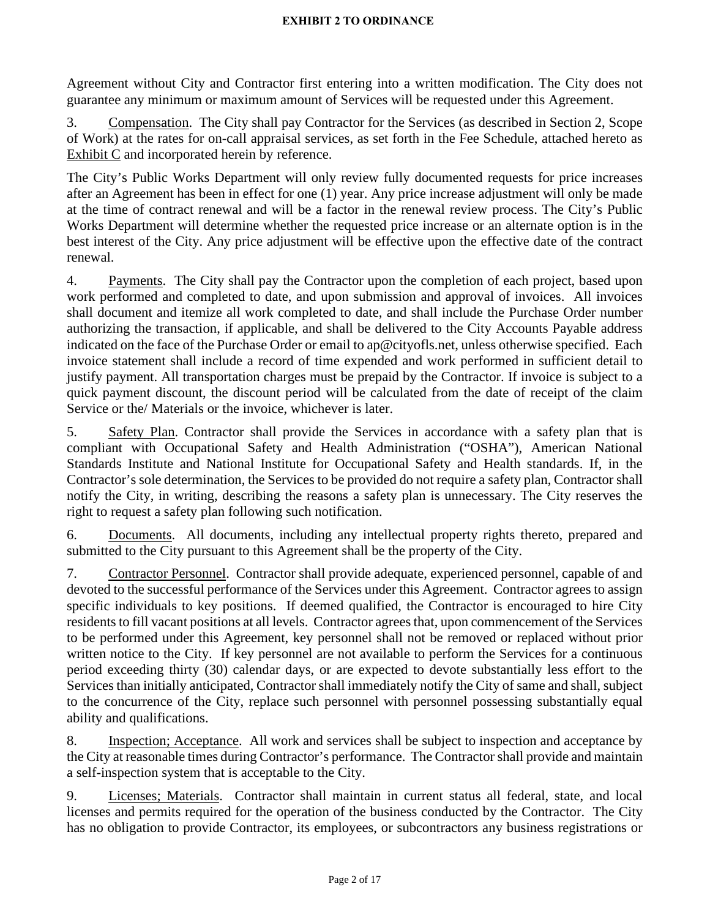Agreement without City and Contractor first entering into a written modification. The City does not guarantee any minimum or maximum amount of Services will be requested under this Agreement.

3. Compensation. The City shall pay Contractor for the Services (as described in Section 2, Scope of Work) at the rates for on-call appraisal services, as set forth in the Fee Schedule, attached hereto as Exhibit C and incorporated herein by reference.

The City's Public Works Department will only review fully documented requests for price increases after an Agreement has been in effect for one (1) year. Any price increase adjustment will only be made at the time of contract renewal and will be a factor in the renewal review process. The City's Public Works Department will determine whether the requested price increase or an alternate option is in the best interest of the City. Any price adjustment will be effective upon the effective date of the contract renewal.

4. Payments. The City shall pay the Contractor upon the completion of each project, based upon work performed and completed to date, and upon submission and approval of invoices. All invoices shall document and itemize all work completed to date, and shall include the Purchase Order number authorizing the transaction, if applicable, and shall be delivered to the City Accounts Payable address indicated on the face of the Purchase Order or email to ap@cityofls.net, unless otherwise specified. Each invoice statement shall include a record of time expended and work performed in sufficient detail to justify payment. All transportation charges must be prepaid by the Contractor. If invoice is subject to a quick payment discount, the discount period will be calculated from the date of receipt of the claim Service or the/ Materials or the invoice, whichever is later.

5. Safety Plan. Contractor shall provide the Services in accordance with a safety plan that is compliant with Occupational Safety and Health Administration ("OSHA"), American National Standards Institute and National Institute for Occupational Safety and Health standards. If, in the Contractor's sole determination, the Services to be provided do not require a safety plan, Contractor shall notify the City, in writing, describing the reasons a safety plan is unnecessary. The City reserves the right to request a safety plan following such notification.

6. Documents. All documents, including any intellectual property rights thereto, prepared and submitted to the City pursuant to this Agreement shall be the property of the City.

7. Contractor Personnel. Contractor shall provide adequate, experienced personnel, capable of and devoted to the successful performance of the Services under this Agreement. Contractor agrees to assign specific individuals to key positions. If deemed qualified, the Contractor is encouraged to hire City residents to fill vacant positions at all levels. Contractor agrees that, upon commencement of the Services to be performed under this Agreement, key personnel shall not be removed or replaced without prior written notice to the City. If key personnel are not available to perform the Services for a continuous period exceeding thirty (30) calendar days, or are expected to devote substantially less effort to the Services than initially anticipated, Contractor shall immediately notify the City of same and shall, subject to the concurrence of the City, replace such personnel with personnel possessing substantially equal ability and qualifications.

8. Inspection; Acceptance. All work and services shall be subject to inspection and acceptance by the City at reasonable times during Contractor's performance. The Contractor shall provide and maintain a self-inspection system that is acceptable to the City.

9. Licenses; Materials. Contractor shall maintain in current status all federal, state, and local licenses and permits required for the operation of the business conducted by the Contractor. The City has no obligation to provide Contractor, its employees, or subcontractors any business registrations or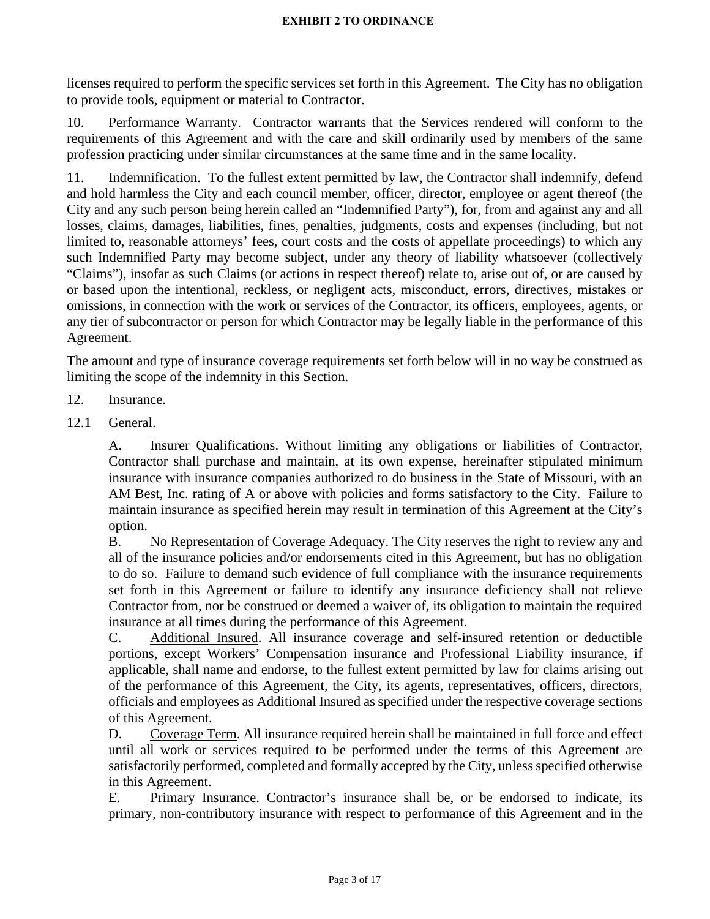licenses required to perform the specific services set forth in this Agreement. The City has no obligation to provide tools, equipment or material to Contractor.

10. Performance Warranty. Contractor warrants that the Services rendered will conform to the requirements of this Agreement and with the care and skill ordinarily used by members of the same profession practicing under similar circumstances at the same time and in the same locality.

11. Indemnification. To the fullest extent permitted by law, the Contractor shall indemnify, defend and hold harmless the City and each council member, officer, director, employee or agent thereof (the City and any such person being herein called an "Indemnified Party"), for, from and against any and all losses, claims, damages, liabilities, fines, penalties, judgments, costs and expenses (including, but not limited to, reasonable attorneys' fees, court costs and the costs of appellate proceedings) to which any such Indemnified Party may become subject, under any theory of liability whatsoever (collectively "Claims"), insofar as such Claims (or actions in respect thereof) relate to, arise out of, or are caused by or based upon the intentional, reckless, or negligent acts, misconduct, errors, directives, mistakes or omissions, in connection with the work or services of the Contractor, its officers, employees, agents, or any tier of subcontractor or person for which Contractor may be legally liable in the performance of this Agreement.

The amount and type of insurance coverage requirements set forth below will in no way be construed as limiting the scope of the indemnity in this Section.

## 12. Insurance.

12.1 General.

A. Insurer Qualifications. Without limiting any obligations or liabilities of Contractor, Contractor shall purchase and maintain, at its own expense, hereinafter stipulated minimum insurance with insurance companies authorized to do business in the State of Missouri, with an AM Best, Inc. rating of A or above with policies and forms satisfactory to the City. Failure to maintain insurance as specified herein may result in termination of this Agreement at the City's option.

B. No Representation of Coverage Adequacy. The City reserves the right to review any and all of the insurance policies and/or endorsements cited in this Agreement, but has no obligation to do so. Failure to demand such evidence of full compliance with the insurance requirements set forth in this Agreement or failure to identify any insurance deficiency shall not relieve Contractor from, nor be construed or deemed a waiver of, its obligation to maintain the required insurance at all times during the performance of this Agreement.

C. Additional Insured. All insurance coverage and self-insured retention or deductible portions, except Workers' Compensation insurance and Professional Liability insurance, if applicable, shall name and endorse, to the fullest extent permitted by law for claims arising out of the performance of this Agreement, the City, its agents, representatives, officers, directors, officials and employees as Additional Insured as specified under the respective coverage sections of this Agreement.

D. Coverage Term. All insurance required herein shall be maintained in full force and effect until all work or services required to be performed under the terms of this Agreement are satisfactorily performed, completed and formally accepted by the City, unless specified otherwise in this Agreement.

E. Primary Insurance. Contractor's insurance shall be, or be endorsed to indicate, its primary, non-contributory insurance with respect to performance of this Agreement and in the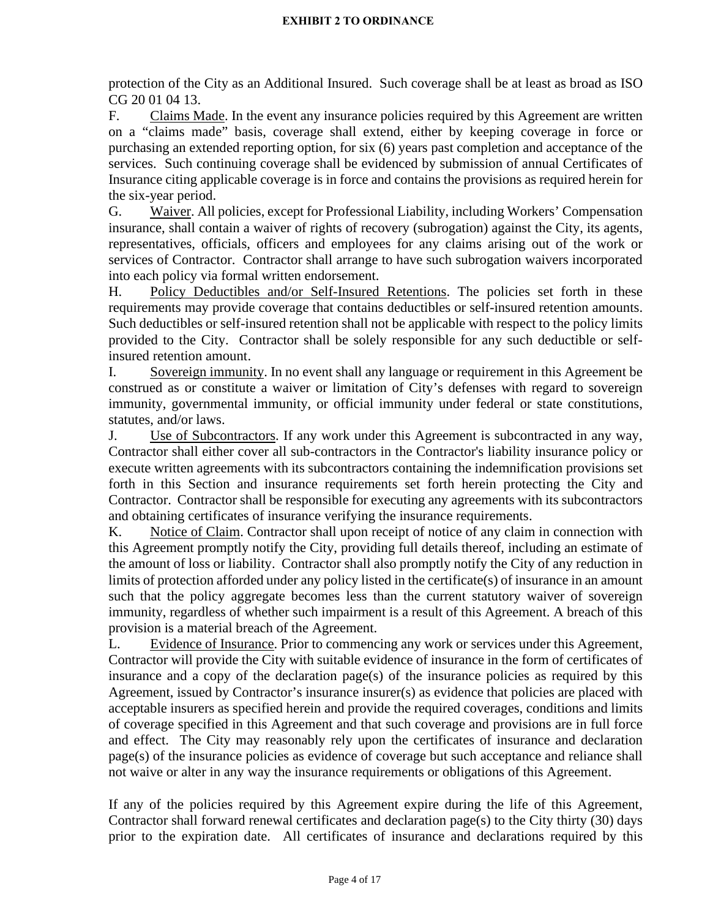protection of the City as an Additional Insured. Such coverage shall be at least as broad as ISO CG 20 01 04 13.

F. Claims Made. In the event any insurance policies required by this Agreement are written on a "claims made" basis, coverage shall extend, either by keeping coverage in force or purchasing an extended reporting option, for six (6) years past completion and acceptance of the services. Such continuing coverage shall be evidenced by submission of annual Certificates of Insurance citing applicable coverage is in force and contains the provisions as required herein for the six-year period.

G. Waiver. All policies, except for Professional Liability, including Workers' Compensation insurance, shall contain a waiver of rights of recovery (subrogation) against the City, its agents, representatives, officials, officers and employees for any claims arising out of the work or services of Contractor. Contractor shall arrange to have such subrogation waivers incorporated into each policy via formal written endorsement.

H. Policy Deductibles and/or Self-Insured Retentions. The policies set forth in these requirements may provide coverage that contains deductibles or self-insured retention amounts. Such deductibles or self-insured retention shall not be applicable with respect to the policy limits provided to the City. Contractor shall be solely responsible for any such deductible or selfinsured retention amount.

I. Sovereign immunity. In no event shall any language or requirement in this Agreement be construed as or constitute a waiver or limitation of City's defenses with regard to sovereign immunity, governmental immunity, or official immunity under federal or state constitutions, statutes, and/or laws.

J. Use of Subcontractors. If any work under this Agreement is subcontracted in any way, Contractor shall either cover all sub-contractors in the Contractor's liability insurance policy or execute written agreements with its subcontractors containing the indemnification provisions set forth in this Section and insurance requirements set forth herein protecting the City and Contractor. Contractor shall be responsible for executing any agreements with its subcontractors and obtaining certificates of insurance verifying the insurance requirements.

K. Notice of Claim. Contractor shall upon receipt of notice of any claim in connection with this Agreement promptly notify the City, providing full details thereof, including an estimate of the amount of loss or liability. Contractor shall also promptly notify the City of any reduction in limits of protection afforded under any policy listed in the certificate(s) of insurance in an amount such that the policy aggregate becomes less than the current statutory waiver of sovereign immunity, regardless of whether such impairment is a result of this Agreement. A breach of this provision is a material breach of the Agreement.

L. Evidence of Insurance. Prior to commencing any work or services under this Agreement, Contractor will provide the City with suitable evidence of insurance in the form of certificates of insurance and a copy of the declaration page(s) of the insurance policies as required by this Agreement, issued by Contractor's insurance insurer(s) as evidence that policies are placed with acceptable insurers as specified herein and provide the required coverages, conditions and limits of coverage specified in this Agreement and that such coverage and provisions are in full force and effect. The City may reasonably rely upon the certificates of insurance and declaration page(s) of the insurance policies as evidence of coverage but such acceptance and reliance shall not waive or alter in any way the insurance requirements or obligations of this Agreement.

If any of the policies required by this Agreement expire during the life of this Agreement, Contractor shall forward renewal certificates and declaration page(s) to the City thirty (30) days prior to the expiration date. All certificates of insurance and declarations required by this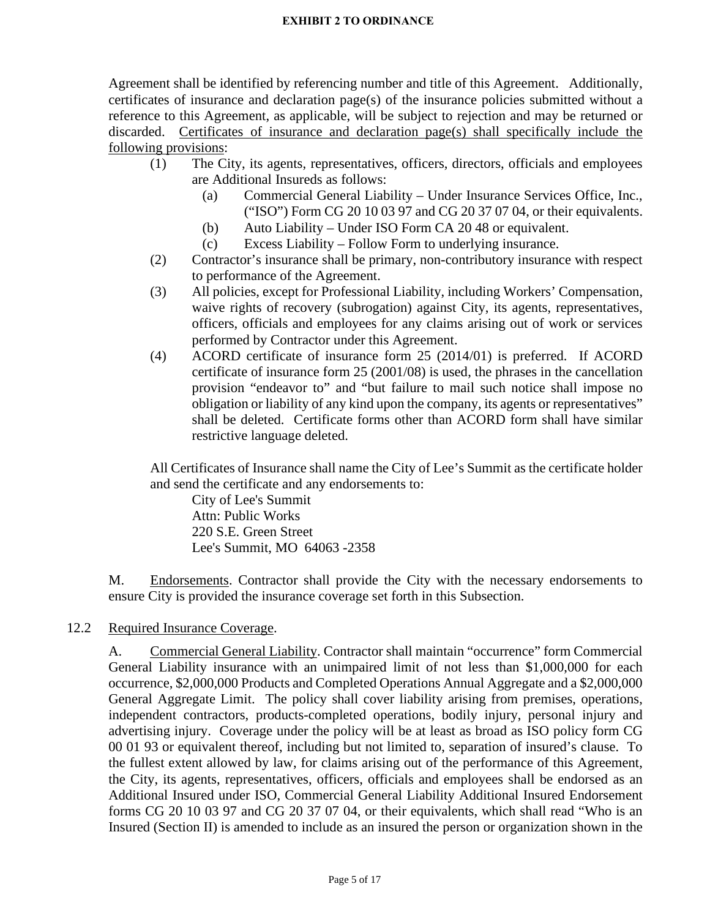Agreement shall be identified by referencing number and title of this Agreement. Additionally, certificates of insurance and declaration page(s) of the insurance policies submitted without a reference to this Agreement, as applicable, will be subject to rejection and may be returned or discarded. Certificates of insurance and declaration page(s) shall specifically include the following provisions:

- (1) The City, its agents, representatives, officers, directors, officials and employees are Additional Insureds as follows:
	- (a) Commercial General Liability Under Insurance Services Office, Inc., ("ISO") Form CG 20 10 03 97 and CG 20 37 07 04, or their equivalents.
	- (b) Auto Liability Under ISO Form CA 20 48 or equivalent.
	- (c) Excess Liability Follow Form to underlying insurance.
- (2) Contractor's insurance shall be primary, non-contributory insurance with respect to performance of the Agreement.
- (3) All policies, except for Professional Liability, including Workers' Compensation, waive rights of recovery (subrogation) against City, its agents, representatives, officers, officials and employees for any claims arising out of work or services performed by Contractor under this Agreement.
- (4) ACORD certificate of insurance form 25 (2014/01) is preferred. If ACORD certificate of insurance form 25 (2001/08) is used, the phrases in the cancellation provision "endeavor to" and "but failure to mail such notice shall impose no obligation or liability of any kind upon the company, its agents or representatives" shall be deleted. Certificate forms other than ACORD form shall have similar restrictive language deleted.

All Certificates of Insurance shall name the City of Lee's Summit as the certificate holder and send the certificate and any endorsements to:

City of Lee's Summit Attn: Public Works 220 S.E. Green Street Lee's Summit, MO 64063 -2358

M. Endorsements. Contractor shall provide the City with the necessary endorsements to ensure City is provided the insurance coverage set forth in this Subsection.

## 12.2 Required Insurance Coverage.

A. Commercial General Liability. Contractor shall maintain "occurrence" form Commercial General Liability insurance with an unimpaired limit of not less than \$1,000,000 for each occurrence, \$2,000,000 Products and Completed Operations Annual Aggregate and a \$2,000,000 General Aggregate Limit. The policy shall cover liability arising from premises, operations, independent contractors, products-completed operations, bodily injury, personal injury and advertising injury. Coverage under the policy will be at least as broad as ISO policy form CG 00 01 93 or equivalent thereof, including but not limited to, separation of insured's clause. To the fullest extent allowed by law, for claims arising out of the performance of this Agreement, the City, its agents, representatives, officers, officials and employees shall be endorsed as an Additional Insured under ISO, Commercial General Liability Additional Insured Endorsement forms CG 20 10 03 97 and CG 20 37 07 04, or their equivalents, which shall read "Who is an Insured (Section II) is amended to include as an insured the person or organization shown in the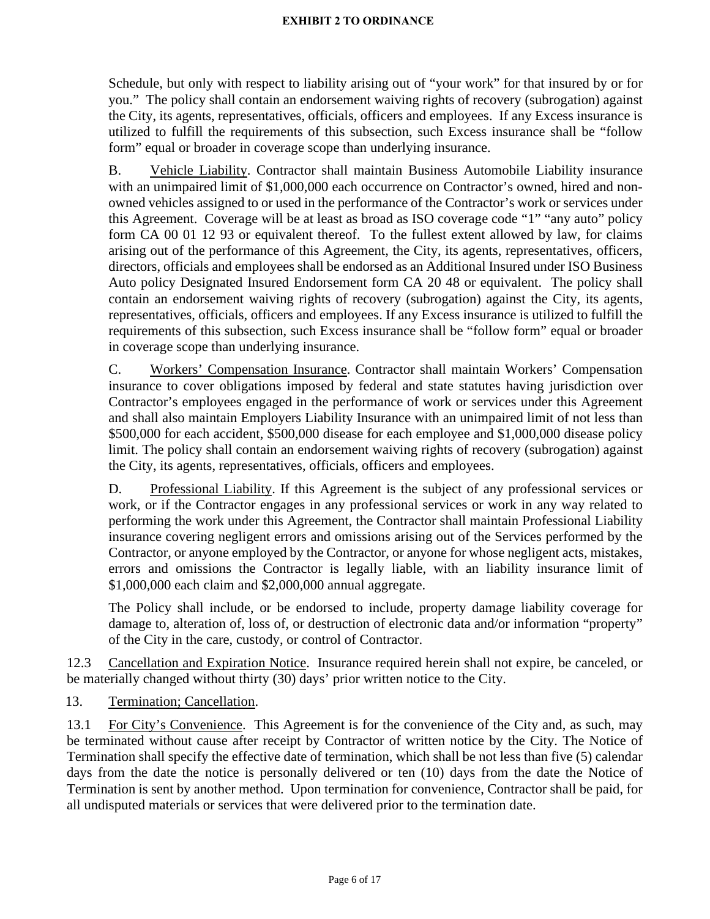Schedule, but only with respect to liability arising out of "your work" for that insured by or for you." The policy shall contain an endorsement waiving rights of recovery (subrogation) against the City, its agents, representatives, officials, officers and employees. If any Excess insurance is utilized to fulfill the requirements of this subsection, such Excess insurance shall be "follow form" equal or broader in coverage scope than underlying insurance.

B. Vehicle Liability. Contractor shall maintain Business Automobile Liability insurance with an unimpaired limit of \$1,000,000 each occurrence on Contractor's owned, hired and nonowned vehicles assigned to or used in the performance of the Contractor's work or services under this Agreement. Coverage will be at least as broad as ISO coverage code "1" "any auto" policy form CA 00 01 12 93 or equivalent thereof. To the fullest extent allowed by law, for claims arising out of the performance of this Agreement, the City, its agents, representatives, officers, directors, officials and employees shall be endorsed as an Additional Insured under ISO Business Auto policy Designated Insured Endorsement form CA 20 48 or equivalent. The policy shall contain an endorsement waiving rights of recovery (subrogation) against the City, its agents, representatives, officials, officers and employees. If any Excess insurance is utilized to fulfill the requirements of this subsection, such Excess insurance shall be "follow form" equal or broader in coverage scope than underlying insurance.

C. Workers' Compensation Insurance. Contractor shall maintain Workers' Compensation insurance to cover obligations imposed by federal and state statutes having jurisdiction over Contractor's employees engaged in the performance of work or services under this Agreement and shall also maintain Employers Liability Insurance with an unimpaired limit of not less than \$500,000 for each accident, \$500,000 disease for each employee and \$1,000,000 disease policy limit. The policy shall contain an endorsement waiving rights of recovery (subrogation) against the City, its agents, representatives, officials, officers and employees.

D. Professional Liability. If this Agreement is the subject of any professional services or work, or if the Contractor engages in any professional services or work in any way related to performing the work under this Agreement, the Contractor shall maintain Professional Liability insurance covering negligent errors and omissions arising out of the Services performed by the Contractor, or anyone employed by the Contractor, or anyone for whose negligent acts, mistakes, errors and omissions the Contractor is legally liable, with an liability insurance limit of \$1,000,000 each claim and \$2,000,000 annual aggregate.

The Policy shall include, or be endorsed to include, property damage liability coverage for damage to, alteration of, loss of, or destruction of electronic data and/or information "property" of the City in the care, custody, or control of Contractor.

12.3 Cancellation and Expiration Notice. Insurance required herein shall not expire, be canceled, or be materially changed without thirty (30) days' prior written notice to the City.

13. Termination; Cancellation.

13.1 For City's Convenience. This Agreement is for the convenience of the City and, as such, may be terminated without cause after receipt by Contractor of written notice by the City. The Notice of Termination shall specify the effective date of termination, which shall be not less than five (5) calendar days from the date the notice is personally delivered or ten (10) days from the date the Notice of Termination is sent by another method. Upon termination for convenience, Contractor shall be paid, for all undisputed materials or services that were delivered prior to the termination date.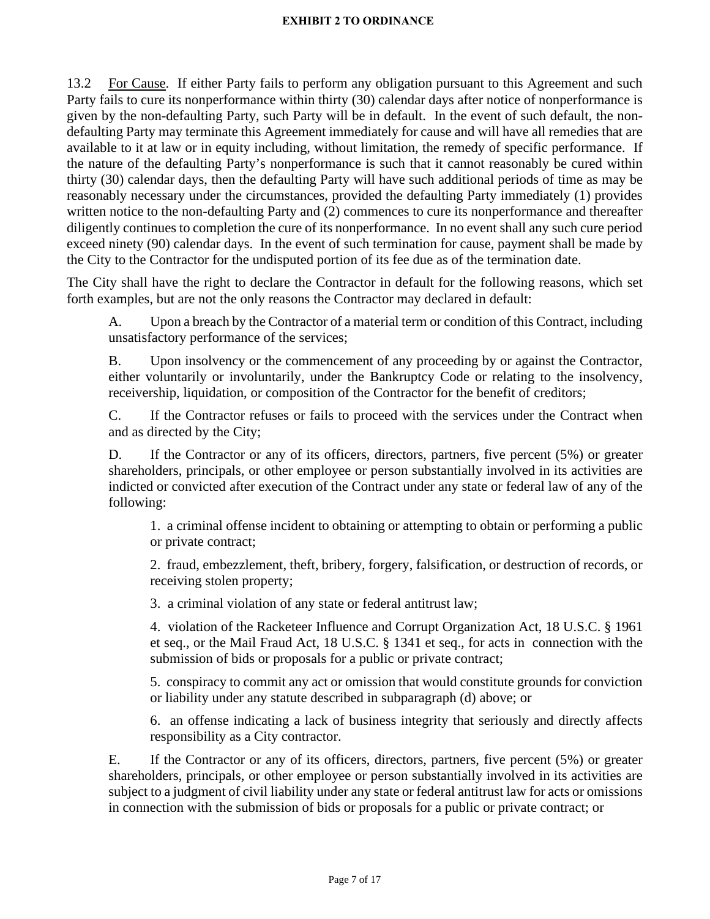13.2 For Cause. If either Party fails to perform any obligation pursuant to this Agreement and such Party fails to cure its nonperformance within thirty (30) calendar days after notice of nonperformance is given by the non-defaulting Party, such Party will be in default. In the event of such default, the nondefaulting Party may terminate this Agreement immediately for cause and will have all remedies that are available to it at law or in equity including, without limitation, the remedy of specific performance. If the nature of the defaulting Party's nonperformance is such that it cannot reasonably be cured within thirty (30) calendar days, then the defaulting Party will have such additional periods of time as may be reasonably necessary under the circumstances, provided the defaulting Party immediately (1) provides written notice to the non-defaulting Party and (2) commences to cure its nonperformance and thereafter diligently continues to completion the cure of its nonperformance. In no event shall any such cure period exceed ninety (90) calendar days. In the event of such termination for cause, payment shall be made by the City to the Contractor for the undisputed portion of its fee due as of the termination date.

The City shall have the right to declare the Contractor in default for the following reasons, which set forth examples, but are not the only reasons the Contractor may declared in default:

A. Upon a breach by the Contractor of a material term or condition of this Contract, including unsatisfactory performance of the services;

B. Upon insolvency or the commencement of any proceeding by or against the Contractor, either voluntarily or involuntarily, under the Bankruptcy Code or relating to the insolvency, receivership, liquidation, or composition of the Contractor for the benefit of creditors;

C. If the Contractor refuses or fails to proceed with the services under the Contract when and as directed by the City;

D. If the Contractor or any of its officers, directors, partners, five percent (5%) or greater shareholders, principals, or other employee or person substantially involved in its activities are indicted or convicted after execution of the Contract under any state or federal law of any of the following:

1. a criminal offense incident to obtaining or attempting to obtain or performing a public or private contract;

2. fraud, embezzlement, theft, bribery, forgery, falsification, or destruction of records, or receiving stolen property;

3. a criminal violation of any state or federal antitrust law;

4. violation of the Racketeer Influence and Corrupt Organization Act, 18 U.S.C. § 1961 et seq., or the Mail Fraud Act, 18 U.S.C. § 1341 et seq., for acts in connection with the submission of bids or proposals for a public or private contract;

5. conspiracy to commit any act or omission that would constitute grounds for conviction or liability under any statute described in subparagraph (d) above; or

6. an offense indicating a lack of business integrity that seriously and directly affects responsibility as a City contractor.

E. If the Contractor or any of its officers, directors, partners, five percent (5%) or greater shareholders, principals, or other employee or person substantially involved in its activities are subject to a judgment of civil liability under any state or federal antitrust law for acts or omissions in connection with the submission of bids or proposals for a public or private contract; or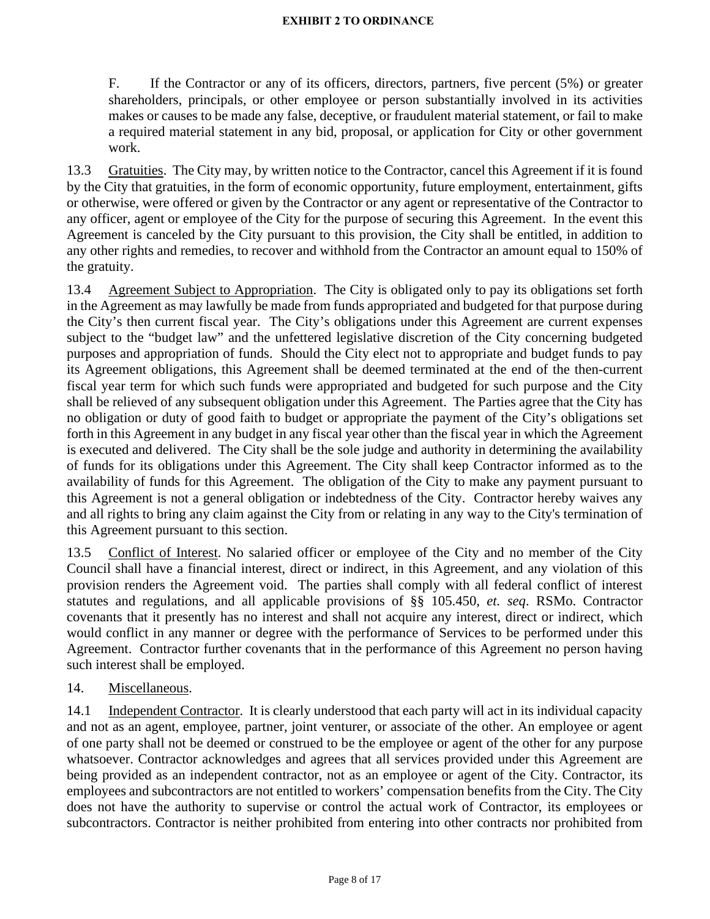F. If the Contractor or any of its officers, directors, partners, five percent (5%) or greater shareholders, principals, or other employee or person substantially involved in its activities makes or causes to be made any false, deceptive, or fraudulent material statement, or fail to make a required material statement in any bid, proposal, or application for City or other government work.

13.3 Gratuities. The City may, by written notice to the Contractor, cancel this Agreement if it is found by the City that gratuities, in the form of economic opportunity, future employment, entertainment, gifts or otherwise, were offered or given by the Contractor or any agent or representative of the Contractor to any officer, agent or employee of the City for the purpose of securing this Agreement. In the event this Agreement is canceled by the City pursuant to this provision, the City shall be entitled, in addition to any other rights and remedies, to recover and withhold from the Contractor an amount equal to 150% of the gratuity.

13.4 Agreement Subject to Appropriation. The City is obligated only to pay its obligations set forth in the Agreement as may lawfully be made from funds appropriated and budgeted for that purpose during the City's then current fiscal year. The City's obligations under this Agreement are current expenses subject to the "budget law" and the unfettered legislative discretion of the City concerning budgeted purposes and appropriation of funds. Should the City elect not to appropriate and budget funds to pay its Agreement obligations, this Agreement shall be deemed terminated at the end of the then-current fiscal year term for which such funds were appropriated and budgeted for such purpose and the City shall be relieved of any subsequent obligation under this Agreement. The Parties agree that the City has no obligation or duty of good faith to budget or appropriate the payment of the City's obligations set forth in this Agreement in any budget in any fiscal year other than the fiscal year in which the Agreement is executed and delivered. The City shall be the sole judge and authority in determining the availability of funds for its obligations under this Agreement. The City shall keep Contractor informed as to the availability of funds for this Agreement. The obligation of the City to make any payment pursuant to this Agreement is not a general obligation or indebtedness of the City. Contractor hereby waives any and all rights to bring any claim against the City from or relating in any way to the City's termination of this Agreement pursuant to this section.

13.5 Conflict of Interest. No salaried officer or employee of the City and no member of the City Council shall have a financial interest, direct or indirect, in this Agreement, and any violation of this provision renders the Agreement void. The parties shall comply with all federal conflict of interest statutes and regulations, and all applicable provisions of §§ 105.450, *et. seq*. RSMo. Contractor covenants that it presently has no interest and shall not acquire any interest, direct or indirect, which would conflict in any manner or degree with the performance of Services to be performed under this Agreement. Contractor further covenants that in the performance of this Agreement no person having such interest shall be employed.

## 14. Miscellaneous.

14.1 Independent Contractor. It is clearly understood that each party will act in its individual capacity and not as an agent, employee, partner, joint venturer, or associate of the other. An employee or agent of one party shall not be deemed or construed to be the employee or agent of the other for any purpose whatsoever. Contractor acknowledges and agrees that all services provided under this Agreement are being provided as an independent contractor, not as an employee or agent of the City. Contractor, its employees and subcontractors are not entitled to workers' compensation benefits from the City. The City does not have the authority to supervise or control the actual work of Contractor, its employees or subcontractors. Contractor is neither prohibited from entering into other contracts nor prohibited from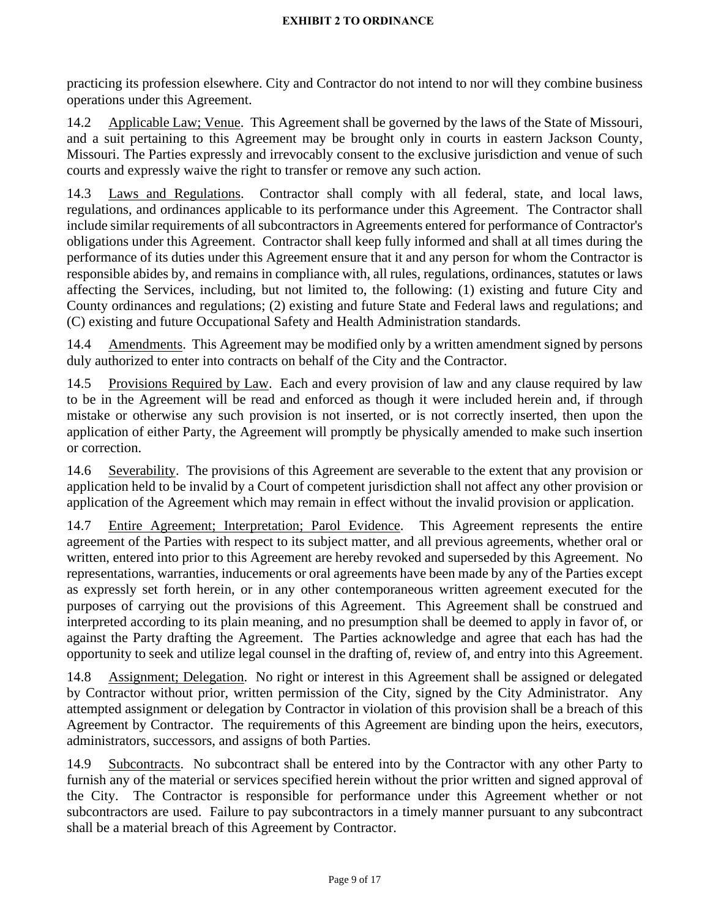practicing its profession elsewhere. City and Contractor do not intend to nor will they combine business operations under this Agreement.

14.2 Applicable Law; Venue. This Agreement shall be governed by the laws of the State of Missouri, and a suit pertaining to this Agreement may be brought only in courts in eastern Jackson County, Missouri. The Parties expressly and irrevocably consent to the exclusive jurisdiction and venue of such courts and expressly waive the right to transfer or remove any such action.

14.3 Laws and Regulations. Contractor shall comply with all federal, state, and local laws, regulations, and ordinances applicable to its performance under this Agreement. The Contractor shall include similar requirements of all subcontractors in Agreements entered for performance of Contractor's obligations under this Agreement. Contractor shall keep fully informed and shall at all times during the performance of its duties under this Agreement ensure that it and any person for whom the Contractor is responsible abides by, and remains in compliance with, all rules, regulations, ordinances, statutes or laws affecting the Services, including, but not limited to, the following: (1) existing and future City and County ordinances and regulations; (2) existing and future State and Federal laws and regulations; and (C) existing and future Occupational Safety and Health Administration standards.

14.4 Amendments. This Agreement may be modified only by a written amendment signed by persons duly authorized to enter into contracts on behalf of the City and the Contractor.

14.5 Provisions Required by Law. Each and every provision of law and any clause required by law to be in the Agreement will be read and enforced as though it were included herein and, if through mistake or otherwise any such provision is not inserted, or is not correctly inserted, then upon the application of either Party, the Agreement will promptly be physically amended to make such insertion or correction.

14.6 Severability. The provisions of this Agreement are severable to the extent that any provision or application held to be invalid by a Court of competent jurisdiction shall not affect any other provision or application of the Agreement which may remain in effect without the invalid provision or application.

14.7 Entire Agreement; Interpretation; Parol Evidence. This Agreement represents the entire agreement of the Parties with respect to its subject matter, and all previous agreements, whether oral or written, entered into prior to this Agreement are hereby revoked and superseded by this Agreement. No representations, warranties, inducements or oral agreements have been made by any of the Parties except as expressly set forth herein, or in any other contemporaneous written agreement executed for the purposes of carrying out the provisions of this Agreement. This Agreement shall be construed and interpreted according to its plain meaning, and no presumption shall be deemed to apply in favor of, or against the Party drafting the Agreement. The Parties acknowledge and agree that each has had the opportunity to seek and utilize legal counsel in the drafting of, review of, and entry into this Agreement.

14.8 Assignment; Delegation. No right or interest in this Agreement shall be assigned or delegated by Contractor without prior, written permission of the City, signed by the City Administrator. Any attempted assignment or delegation by Contractor in violation of this provision shall be a breach of this Agreement by Contractor. The requirements of this Agreement are binding upon the heirs, executors, administrators, successors, and assigns of both Parties.

14.9 Subcontracts. No subcontract shall be entered into by the Contractor with any other Party to furnish any of the material or services specified herein without the prior written and signed approval of the City. The Contractor is responsible for performance under this Agreement whether or not subcontractors are used. Failure to pay subcontractors in a timely manner pursuant to any subcontract shall be a material breach of this Agreement by Contractor.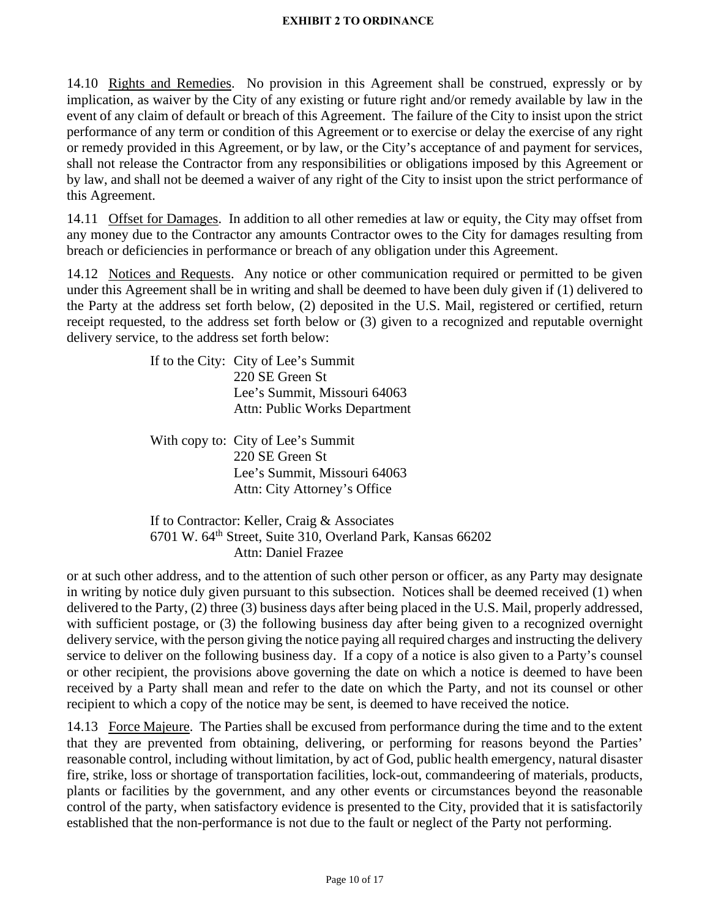14.10 Rights and Remedies. No provision in this Agreement shall be construed, expressly or by implication, as waiver by the City of any existing or future right and/or remedy available by law in the event of any claim of default or breach of this Agreement. The failure of the City to insist upon the strict performance of any term or condition of this Agreement or to exercise or delay the exercise of any right or remedy provided in this Agreement, or by law, or the City's acceptance of and payment for services, shall not release the Contractor from any responsibilities or obligations imposed by this Agreement or by law, and shall not be deemed a waiver of any right of the City to insist upon the strict performance of this Agreement.

14.11 Offset for Damages. In addition to all other remedies at law or equity, the City may offset from any money due to the Contractor any amounts Contractor owes to the City for damages resulting from breach or deficiencies in performance or breach of any obligation under this Agreement.

14.12 Notices and Requests. Any notice or other communication required or permitted to be given under this Agreement shall be in writing and shall be deemed to have been duly given if (1) delivered to the Party at the address set forth below, (2) deposited in the U.S. Mail, registered or certified, return receipt requested, to the address set forth below or (3) given to a recognized and reputable overnight delivery service, to the address set forth below:

> If to the City: City of Lee's Summit 220 SE Green St Lee's Summit, Missouri 64063 Attn: Public Works Department

With copy to: City of Lee's Summit 220 SE Green St Lee's Summit, Missouri 64063 Attn: City Attorney's Office

If to Contractor: Keller, Craig & Associates 6701 W. 64th Street, Suite 310, Overland Park, Kansas 66202 Attn: Daniel Frazee

or at such other address, and to the attention of such other person or officer, as any Party may designate in writing by notice duly given pursuant to this subsection. Notices shall be deemed received (1) when delivered to the Party, (2) three (3) business days after being placed in the U.S. Mail, properly addressed, with sufficient postage, or (3) the following business day after being given to a recognized overnight delivery service, with the person giving the notice paying all required charges and instructing the delivery service to deliver on the following business day. If a copy of a notice is also given to a Party's counsel or other recipient, the provisions above governing the date on which a notice is deemed to have been received by a Party shall mean and refer to the date on which the Party, and not its counsel or other recipient to which a copy of the notice may be sent, is deemed to have received the notice.

14.13 Force Majeure. The Parties shall be excused from performance during the time and to the extent that they are prevented from obtaining, delivering, or performing for reasons beyond the Parties' reasonable control, including without limitation, by act of God, public health emergency, natural disaster fire, strike, loss or shortage of transportation facilities, lock-out, commandeering of materials, products, plants or facilities by the government, and any other events or circumstances beyond the reasonable control of the party, when satisfactory evidence is presented to the City, provided that it is satisfactorily established that the non-performance is not due to the fault or neglect of the Party not performing.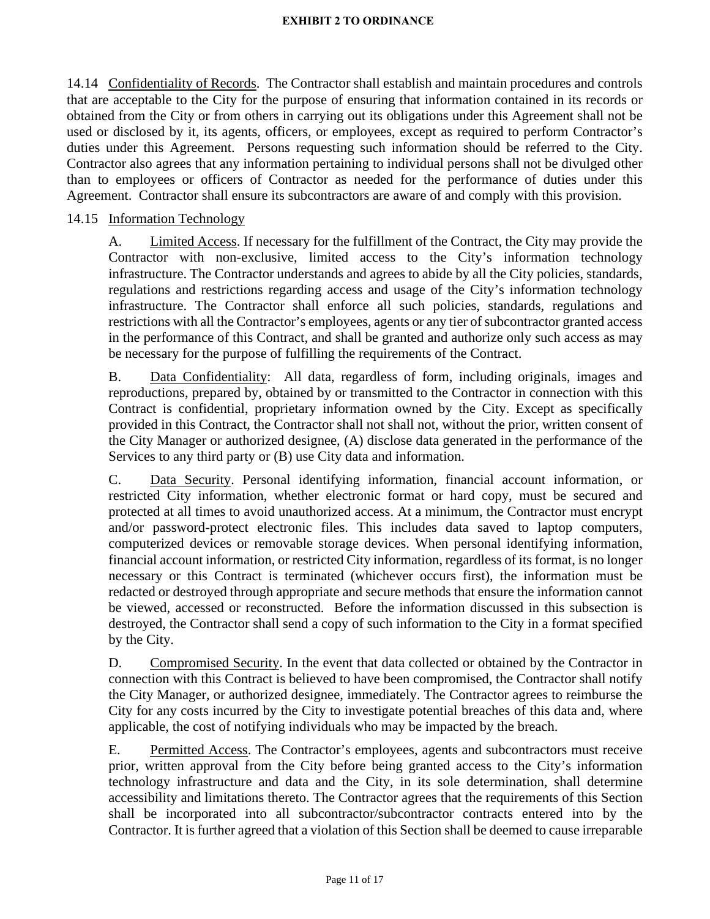14.14 Confidentiality of Records. The Contractor shall establish and maintain procedures and controls that are acceptable to the City for the purpose of ensuring that information contained in its records or obtained from the City or from others in carrying out its obligations under this Agreement shall not be used or disclosed by it, its agents, officers, or employees, except as required to perform Contractor's duties under this Agreement. Persons requesting such information should be referred to the City. Contractor also agrees that any information pertaining to individual persons shall not be divulged other than to employees or officers of Contractor as needed for the performance of duties under this Agreement. Contractor shall ensure its subcontractors are aware of and comply with this provision.

## 14.15 Information Technology

A. Limited Access. If necessary for the fulfillment of the Contract, the City may provide the Contractor with non-exclusive, limited access to the City's information technology infrastructure. The Contractor understands and agrees to abide by all the City policies, standards, regulations and restrictions regarding access and usage of the City's information technology infrastructure. The Contractor shall enforce all such policies, standards, regulations and restrictions with all the Contractor's employees, agents or any tier of subcontractor granted access in the performance of this Contract, and shall be granted and authorize only such access as may be necessary for the purpose of fulfilling the requirements of the Contract.

B. Data Confidentiality: All data, regardless of form, including originals, images and reproductions, prepared by, obtained by or transmitted to the Contractor in connection with this Contract is confidential, proprietary information owned by the City. Except as specifically provided in this Contract, the Contractor shall not shall not, without the prior, written consent of the City Manager or authorized designee, (A) disclose data generated in the performance of the Services to any third party or (B) use City data and information.

C. Data Security. Personal identifying information, financial account information, or restricted City information, whether electronic format or hard copy, must be secured and protected at all times to avoid unauthorized access. At a minimum, the Contractor must encrypt and/or password-protect electronic files. This includes data saved to laptop computers, computerized devices or removable storage devices. When personal identifying information, financial account information, or restricted City information, regardless of its format, is no longer necessary or this Contract is terminated (whichever occurs first), the information must be redacted or destroyed through appropriate and secure methods that ensure the information cannot be viewed, accessed or reconstructed. Before the information discussed in this subsection is destroyed, the Contractor shall send a copy of such information to the City in a format specified by the City.

D. Compromised Security. In the event that data collected or obtained by the Contractor in connection with this Contract is believed to have been compromised, the Contractor shall notify the City Manager, or authorized designee, immediately. The Contractor agrees to reimburse the City for any costs incurred by the City to investigate potential breaches of this data and, where applicable, the cost of notifying individuals who may be impacted by the breach.

E. Permitted Access. The Contractor's employees, agents and subcontractors must receive prior, written approval from the City before being granted access to the City's information technology infrastructure and data and the City, in its sole determination, shall determine accessibility and limitations thereto. The Contractor agrees that the requirements of this Section shall be incorporated into all subcontractor/subcontractor contracts entered into by the Contractor. It is further agreed that a violation of this Section shall be deemed to cause irreparable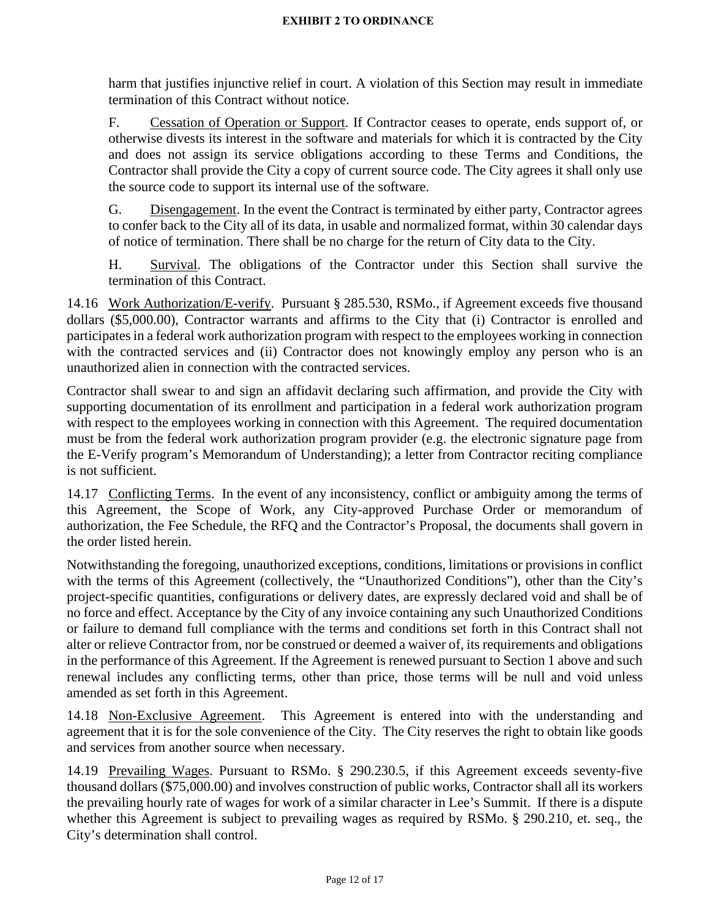harm that justifies injunctive relief in court. A violation of this Section may result in immediate termination of this Contract without notice.

F. Cessation of Operation or Support. If Contractor ceases to operate, ends support of, or otherwise divests its interest in the software and materials for which it is contracted by the City and does not assign its service obligations according to these Terms and Conditions, the Contractor shall provide the City a copy of current source code. The City agrees it shall only use the source code to support its internal use of the software.

G. Disengagement. In the event the Contract is terminated by either party, Contractor agrees to confer back to the City all of its data, in usable and normalized format, within 30 calendar days of notice of termination. There shall be no charge for the return of City data to the City.

H. Survival. The obligations of the Contractor under this Section shall survive the termination of this Contract.

14.16 Work Authorization/E-verify. Pursuant § 285.530, RSMo., if Agreement exceeds five thousand dollars (\$5,000.00), Contractor warrants and affirms to the City that (i) Contractor is enrolled and participates in a federal work authorization program with respect to the employees working in connection with the contracted services and (ii) Contractor does not knowingly employ any person who is an unauthorized alien in connection with the contracted services.

Contractor shall swear to and sign an affidavit declaring such affirmation, and provide the City with supporting documentation of its enrollment and participation in a federal work authorization program with respect to the employees working in connection with this Agreement. The required documentation must be from the federal work authorization program provider (e.g. the electronic signature page from the E-Verify program's Memorandum of Understanding); a letter from Contractor reciting compliance is not sufficient.

14.17 Conflicting Terms. In the event of any inconsistency, conflict or ambiguity among the terms of this Agreement, the Scope of Work, any City-approved Purchase Order or memorandum of authorization, the Fee Schedule, the RFQ and the Contractor's Proposal, the documents shall govern in the order listed herein.

Notwithstanding the foregoing, unauthorized exceptions, conditions, limitations or provisions in conflict with the terms of this Agreement (collectively, the "Unauthorized Conditions"), other than the City's project-specific quantities, configurations or delivery dates, are expressly declared void and shall be of no force and effect. Acceptance by the City of any invoice containing any such Unauthorized Conditions or failure to demand full compliance with the terms and conditions set forth in this Contract shall not alter or relieve Contractor from, nor be construed or deemed a waiver of, its requirements and obligations in the performance of this Agreement. If the Agreement is renewed pursuant to Section 1 above and such renewal includes any conflicting terms, other than price, those terms will be null and void unless amended as set forth in this Agreement.

14.18 Non-Exclusive Agreement. This Agreement is entered into with the understanding and agreement that it is for the sole convenience of the City. The City reserves the right to obtain like goods and services from another source when necessary.

14.19 Prevailing Wages. Pursuant to RSMo. § 290.230.5, if this Agreement exceeds seventy-five thousand dollars (\$75,000.00) and involves construction of public works, Contractor shall all its workers the prevailing hourly rate of wages for work of a similar character in Lee's Summit. If there is a dispute whether this Agreement is subject to prevailing wages as required by RSMo. § 290.210, et. seq., the City's determination shall control.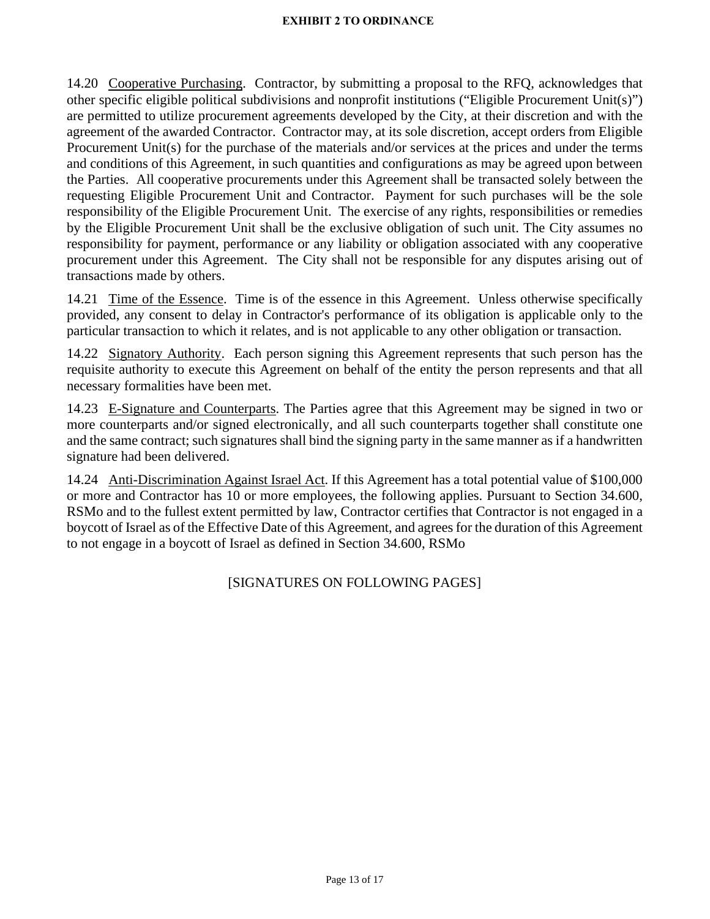14.20 Cooperative Purchasing. Contractor, by submitting a proposal to the RFQ, acknowledges that other specific eligible political subdivisions and nonprofit institutions ("Eligible Procurement Unit(s)") are permitted to utilize procurement agreements developed by the City, at their discretion and with the agreement of the awarded Contractor. Contractor may, at its sole discretion, accept orders from Eligible Procurement Unit(s) for the purchase of the materials and/or services at the prices and under the terms and conditions of this Agreement, in such quantities and configurations as may be agreed upon between the Parties. All cooperative procurements under this Agreement shall be transacted solely between the requesting Eligible Procurement Unit and Contractor. Payment for such purchases will be the sole responsibility of the Eligible Procurement Unit. The exercise of any rights, responsibilities or remedies by the Eligible Procurement Unit shall be the exclusive obligation of such unit. The City assumes no responsibility for payment, performance or any liability or obligation associated with any cooperative procurement under this Agreement. The City shall not be responsible for any disputes arising out of transactions made by others.

14.21 Time of the Essence. Time is of the essence in this Agreement. Unless otherwise specifically provided, any consent to delay in Contractor's performance of its obligation is applicable only to the particular transaction to which it relates, and is not applicable to any other obligation or transaction.

14.22 Signatory Authority. Each person signing this Agreement represents that such person has the requisite authority to execute this Agreement on behalf of the entity the person represents and that all necessary formalities have been met.

14.23 E-Signature and Counterparts. The Parties agree that this Agreement may be signed in two or more counterparts and/or signed electronically, and all such counterparts together shall constitute one and the same contract; such signatures shall bind the signing party in the same manner as if a handwritten signature had been delivered.

14.24 Anti-Discrimination Against Israel Act. If this Agreement has a total potential value of \$100,000 or more and Contractor has 10 or more employees, the following applies. Pursuant to Section 34.600, RSMo and to the fullest extent permitted by law, Contractor certifies that Contractor is not engaged in a boycott of Israel as of the Effective Date of this Agreement, and agrees for the duration of this Agreement to not engage in a boycott of Israel as defined in Section 34.600, RSMo

[SIGNATURES ON FOLLOWING PAGES]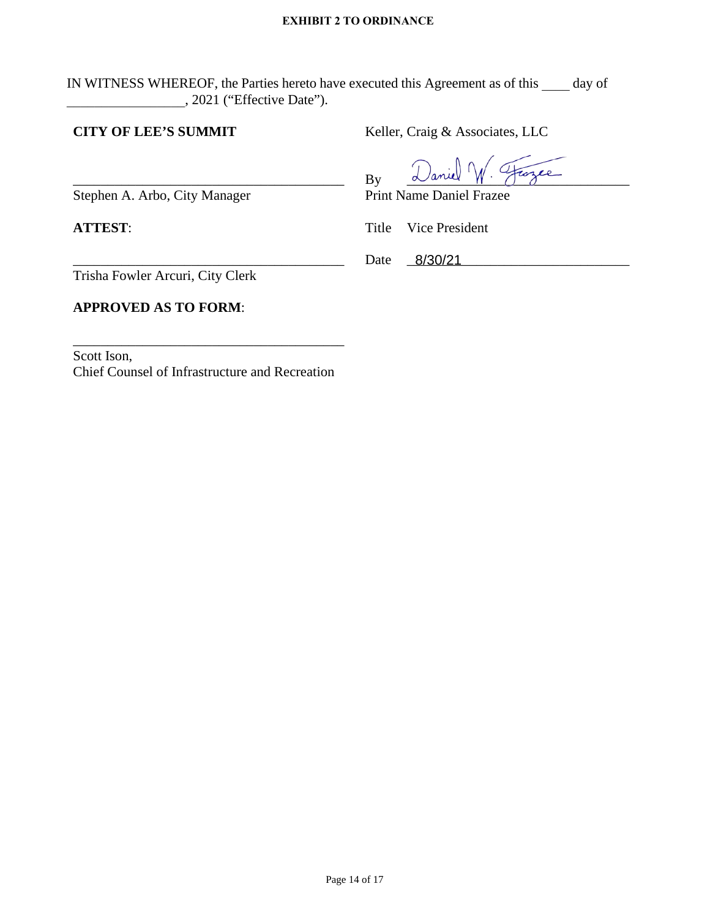IN WITNESS WHEREOF, the Parties hereto have executed this Agreement as of this \_\_\_\_ day of \_\_\_\_\_\_\_\_\_\_\_\_\_\_\_\_\_, 2021 ("Effective Date").

## **CITY OF LEE'S SUMMIT**

Keller, Craig & Associates, LLC

 $By$   $\alpha$  and  $\gamma$   $\beta$  and  $\gamma$ 

Date <u>8/30/21</u>

Print Name Daniel Frazee

Title Vice President

\_\_\_\_\_\_\_\_\_\_\_\_\_\_\_\_\_\_\_\_\_\_\_\_\_\_\_\_\_\_\_\_\_\_\_\_\_\_\_ Trisha Fowler Arcuri, City Clerk

Stephen A. Arbo, City Manager

**ATTEST**:

## **APPROVED AS TO FORM**:

Scott Ison, Chief Counsel of Infrastructure and Recreation

\_\_\_\_\_\_\_\_\_\_\_\_\_\_\_\_\_\_\_\_\_\_\_\_\_\_\_\_\_\_\_\_\_\_\_\_\_\_\_

\_\_\_\_\_\_\_\_\_\_\_\_\_\_\_\_\_\_\_\_\_\_\_\_\_\_\_\_\_\_\_\_\_\_\_\_\_\_\_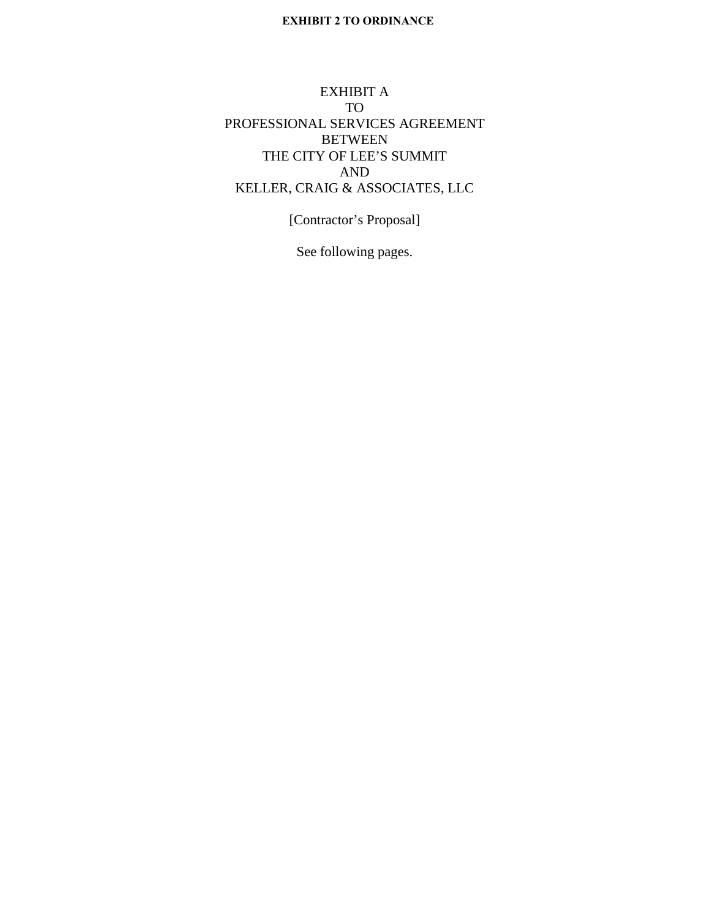## EXHIBIT A TO PROFESSIONAL SERVICES AGREEMENT BETWEEN THE CITY OF LEE'S SUMMIT AND KELLER, CRAIG & ASSOCIATES, LLC

[Contractor's Proposal]

See following pages.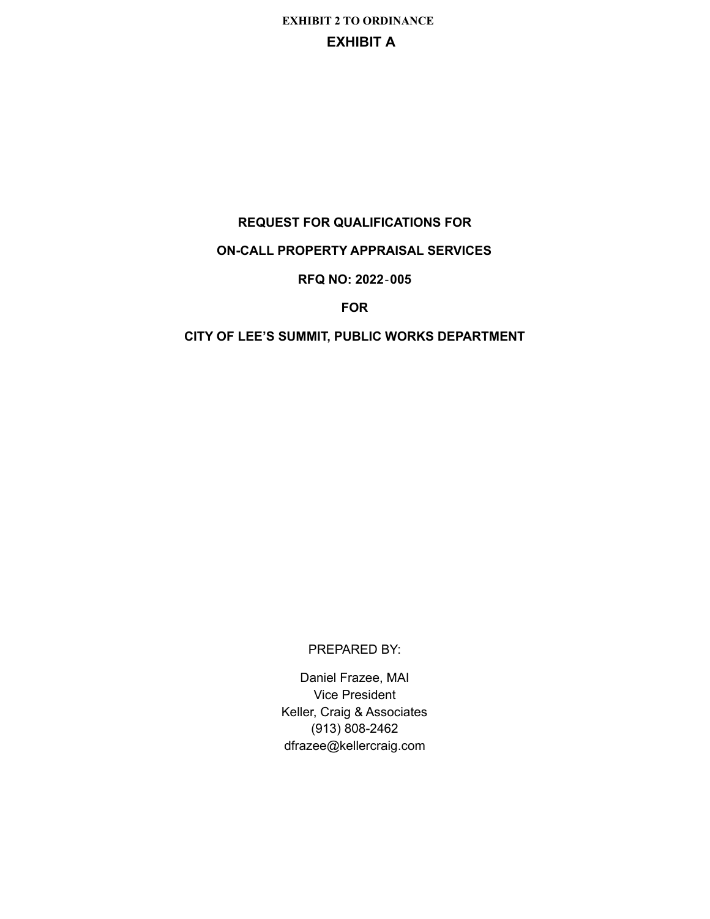## **REQUEST FOR QUALIFICATIONS FOR**

## **ON-CALL PROPERTY APPRAISAL SERVICES**

## **RFQ NO: 2022**‐**005**

**FOR**

## **CITY OF LEE'S SUMMIT, PUBLIC WORKS DEPARTMENT**

PREPARED BY:

Daniel Frazee, MAI Vice President Keller, Craig & Associates (913) 808-2462 dfrazee@kellercraig.com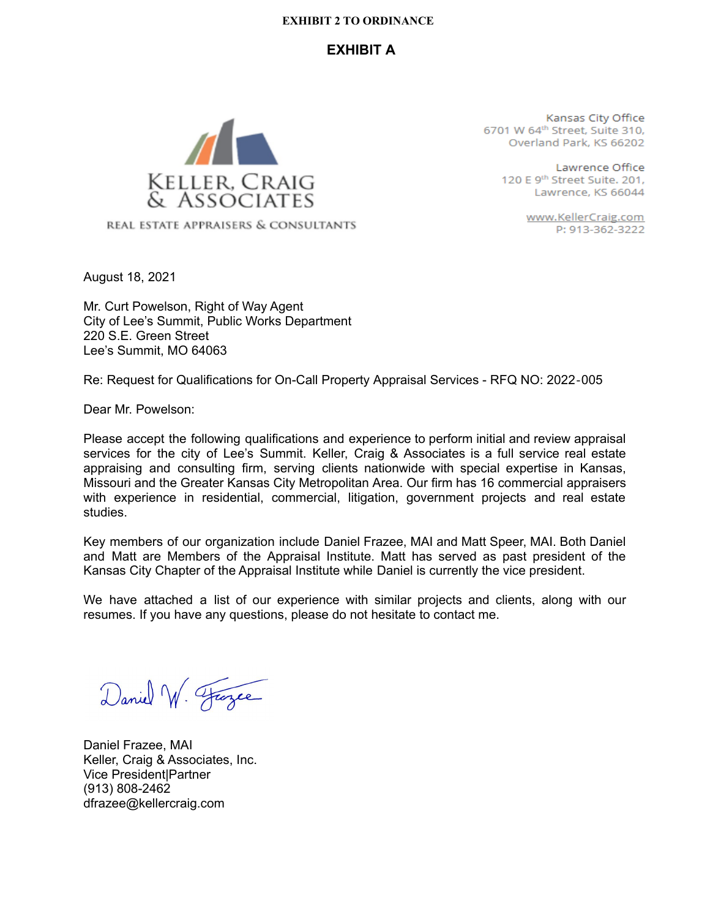## **EXHIBIT A**



REAL ESTATE APPRAISERS & CONSULTANTS

Kansas City Office 6701 W 64th Street, Suite 310, Overland Park, KS 66202

> Lawrence Office 120 E 9<sup>th</sup> Street Suite. 201, Lawrence, KS 66044

> > www.KellerCraig.com P: 913-362-3222

August 18, 2021

Mr. Curt Powelson, Right of Way Agent City of Lee's Summit, Public Works Department 220 S.E. Green Street Lee's Summit, MO 64063

Re: Request for Qualifications for On-Call Property Appraisal Services - RFQ NO: 2022‐005

Dear Mr. Powelson:

Please accept the following qualifications and experience to perform initial and review appraisal services for the city of Lee's Summit. Keller, Craig & Associates is a full service real estate appraising and consulting firm, serving clients nationwide with special expertise in Kansas, Missouri and the Greater Kansas City Metropolitan Area. Our firm has 16 commercial appraisers with experience in residential, commercial, litigation, government projects and real estate studies.

Key members of our organization include Daniel Frazee, MAI and Matt Speer, MAI. Both Daniel and Matt are Members of the Appraisal Institute. Matt has served as past president of the Kansas City Chapter of the Appraisal Institute while Daniel is currently the vice president.

We have attached a list of our experience with similar projects and clients, along with our resumes. If you have any questions, please do not hesitate to contact me.

Daniel W. France

Daniel Frazee, MAI Keller, Craig & Associates, Inc. Vice President|Partner (913) 808-2462 dfrazee@kellercraig.com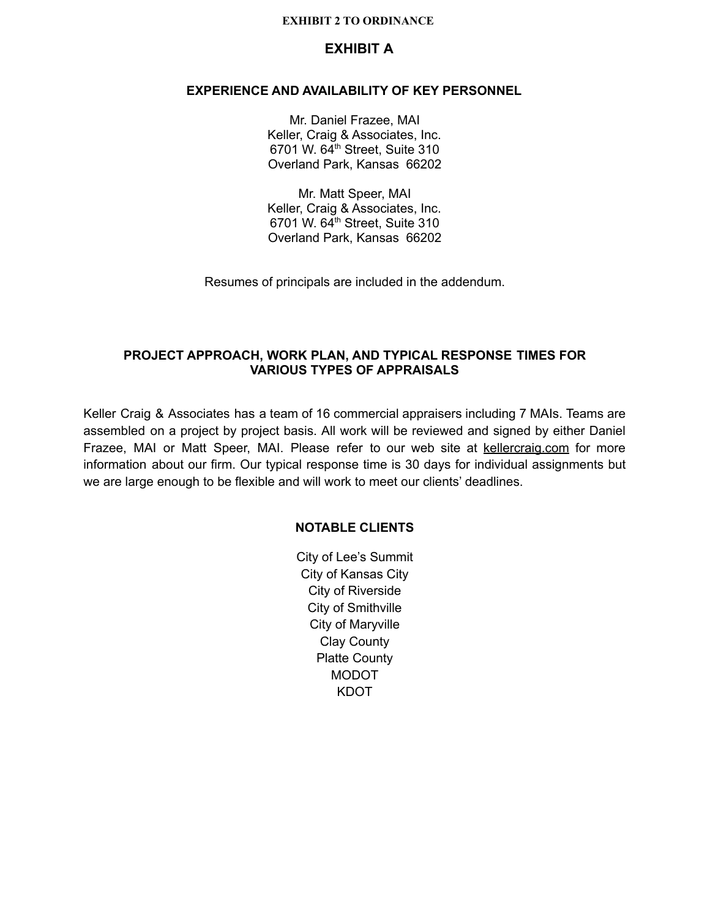## **EXHIBIT A**

#### **EXPERIENCE AND AVAILABILITY OF KEY PERSONNEL**

Mr. Daniel Frazee, MAI Keller, Craig & Associates, Inc. 6701 W.  $64^{\text{th}}$  Street, Suite 310 Overland Park, Kansas 66202

Mr. Matt Speer, MAI Keller, Craig & Associates, Inc. 6701 W. 64th Street, Suite 310 Overland Park, Kansas 66202

Resumes of principals are included in the addendum.

### **PROJECT APPROACH, WORK PLAN, AND TYPICAL RESPONSE TIMES FOR VARIOUS TYPES OF APPRAISALS**

Keller Craig & Associates has a team of 16 commercial appraisers including 7 MAIs. Teams are assembled on a project by project basis. All work will be reviewed and signed by either Daniel Frazee, MAI or Matt Speer, MAI. Please refer to our web site at kellercraig.com for more information about our firm. Our typical response time is 30 days for individual assignments but we are large enough to be flexible and will work to meet our clients' deadlines.

#### **NOTABLE CLIENTS**

City of Lee's Summit City of Kansas City City of Riverside City of Smithville City of Maryville Clay County Platte County MODOT KDOT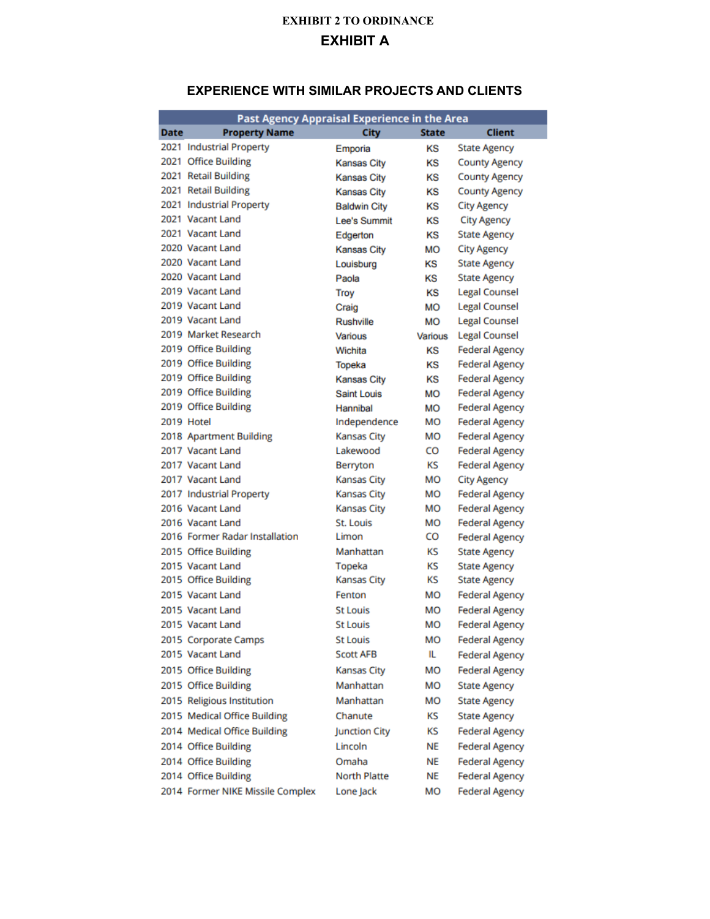## **EXPERIENCE WITH SIMILAR PROJECTS AND CLIENTS**

| <b>City</b><br><b>Date</b><br><b>Property Name</b><br>Client<br>State<br>2021 Industrial Property<br><b>State Agency</b><br>κs<br>Emporia<br>2021 Office Building<br>κs<br><b>County Agency</b><br><b>Kansas City</b><br>2021 Retail Building<br><b>County Agency</b><br><b>Kansas City</b><br>κs<br>2021 Retail Building<br><b>County Agency</b><br><b>Kansas City</b><br>ΚS<br>2021 Industrial Property<br><b>City Agency</b><br><b>Baldwin City</b><br>ΚS<br>2021 Vacant Land<br><b>Lee's Summit</b><br>KS<br><b>City Agency</b><br>2021 Vacant Land<br>ΚS<br><b>State Agency</b><br>Edgerton<br>2020 Vacant Land<br><b>MO</b><br><b>City Agency</b><br><b>Kansas City</b><br>2020 Vacant Land<br>ΚS<br><b>State Agency</b><br>Louisburg<br>2020 Vacant Land<br>KS<br><b>State Agency</b><br>Paola<br>2019 Vacant Land<br><b>Legal Counsel</b><br>Troy<br>ΚS<br>2019 Vacant Land<br><b>Legal Counsel</b><br><b>MO</b><br>Craig<br>2019 Vacant Land<br><b>Legal Counsel</b><br><b>Rushville</b><br><b>MO</b><br>2019 Market Research<br><b>Legal Counsel</b><br>Various<br>Various<br>2019 Office Building<br><b>Federal Agency</b><br>κs<br>Wichita<br>2019 Office Building<br><b>Federal Agency</b><br>κs<br>Topeka<br>2019 Office Building<br><b>Federal Agency</b><br><b>Kansas City</b><br>ΚS<br>2019 Office Building<br>Saint Louis<br><b>Federal Agency</b><br><b>MO</b><br>2019 Office Building<br><b>MO</b><br><b>Federal Agency</b><br>Hannibal<br>2019 Hotel<br>MО<br>Independence<br><b>Federal Agency</b><br>2018 Apartment Building<br><b>Kansas City</b><br>MО<br><b>Federal Agency</b><br>2017 Vacant Land<br>Lakewood<br>co<br><b>Federal Agency</b><br>2017 Vacant Land<br>κs<br><b>Federal Agency</b><br>Berryton<br>MО<br>2017 Vacant Land<br>Kansas City<br><b>City Agency</b><br>MO<br>2017 Industrial Property<br><b>Kansas City</b><br><b>Federal Agency</b><br>2016 Vacant Land<br>Kansas City<br>MО<br><b>Federal Agency</b><br>2016 Vacant Land<br>St. Louis<br>MО<br><b>Federal Agency</b><br>2016 Former Radar Installation<br>Limon<br>co<br><b>Federal Agency</b><br>2015 Office Building<br>Manhattan<br>κs<br><b>State Agency</b><br>2015 Vacant Land<br>κs<br>Topeka<br><b>State Agency</b><br>κs<br>2015 Office Building<br><b>Kansas City</b><br><b>State Agency</b><br>2015 Vacant Land<br>Fenton<br>мо<br><b>Federal Agency</b><br>2015 Vacant Land<br>St Louis<br>MО<br><b>Federal Agency</b><br>2015 Vacant Land<br>MO<br>St Louis<br><b>Federal Agency</b><br><b>St Louis</b><br>мо<br>2015 Corporate Camps<br><b>Federal Agency</b><br>IL<br>2015 Vacant Land<br><b>Scott AFB</b><br><b>Federal Agency</b><br>2015 Office Building<br><b>Kansas City</b><br>мо<br><b>Federal Agency</b><br>2015 Office Building<br>Manhattan<br>мо<br><b>State Agency</b><br>2015 Religious Institution<br>Manhattan<br>мо<br><b>State Agency</b><br>2015 Medical Office Building<br>KS<br>Chanute<br><b>State Agency</b><br>2014 Medical Office Building<br><b>Junction City</b><br>КS<br><b>Federal Agency</b><br>2014 Office Building<br>Lincoln<br>NE<br><b>Federal Agency</b><br>2014 Office Building<br>Omaha<br><b>NE</b><br><b>Federal Agency</b><br>2014 Office Building<br>North Platte<br>NE<br><b>Federal Agency</b> | Past Agency Appraisal Experience in the Area |           |    |                       |
|--------------------------------------------------------------------------------------------------------------------------------------------------------------------------------------------------------------------------------------------------------------------------------------------------------------------------------------------------------------------------------------------------------------------------------------------------------------------------------------------------------------------------------------------------------------------------------------------------------------------------------------------------------------------------------------------------------------------------------------------------------------------------------------------------------------------------------------------------------------------------------------------------------------------------------------------------------------------------------------------------------------------------------------------------------------------------------------------------------------------------------------------------------------------------------------------------------------------------------------------------------------------------------------------------------------------------------------------------------------------------------------------------------------------------------------------------------------------------------------------------------------------------------------------------------------------------------------------------------------------------------------------------------------------------------------------------------------------------------------------------------------------------------------------------------------------------------------------------------------------------------------------------------------------------------------------------------------------------------------------------------------------------------------------------------------------------------------------------------------------------------------------------------------------------------------------------------------------------------------------------------------------------------------------------------------------------------------------------------------------------------------------------------------------------------------------------------------------------------------------------------------------------------------------------------------------------------------------------------------------------------------------------------------------------------------------------------------------------------------------------------------------------------------------------------------------------------------------------------------------------------------------------------------------------------------------------------------------------------------------------------------------------------------------------------------------------------------------------------------------------------------------------------------------------------------------------------------------------------------------------------------|----------------------------------------------|-----------|----|-----------------------|
|                                                                                                                                                                                                                                                                                                                                                                                                                                                                                                                                                                                                                                                                                                                                                                                                                                                                                                                                                                                                                                                                                                                                                                                                                                                                                                                                                                                                                                                                                                                                                                                                                                                                                                                                                                                                                                                                                                                                                                                                                                                                                                                                                                                                                                                                                                                                                                                                                                                                                                                                                                                                                                                                                                                                                                                                                                                                                                                                                                                                                                                                                                                                                                                                                                                              |                                              |           |    |                       |
|                                                                                                                                                                                                                                                                                                                                                                                                                                                                                                                                                                                                                                                                                                                                                                                                                                                                                                                                                                                                                                                                                                                                                                                                                                                                                                                                                                                                                                                                                                                                                                                                                                                                                                                                                                                                                                                                                                                                                                                                                                                                                                                                                                                                                                                                                                                                                                                                                                                                                                                                                                                                                                                                                                                                                                                                                                                                                                                                                                                                                                                                                                                                                                                                                                                              |                                              |           |    |                       |
|                                                                                                                                                                                                                                                                                                                                                                                                                                                                                                                                                                                                                                                                                                                                                                                                                                                                                                                                                                                                                                                                                                                                                                                                                                                                                                                                                                                                                                                                                                                                                                                                                                                                                                                                                                                                                                                                                                                                                                                                                                                                                                                                                                                                                                                                                                                                                                                                                                                                                                                                                                                                                                                                                                                                                                                                                                                                                                                                                                                                                                                                                                                                                                                                                                                              |                                              |           |    |                       |
|                                                                                                                                                                                                                                                                                                                                                                                                                                                                                                                                                                                                                                                                                                                                                                                                                                                                                                                                                                                                                                                                                                                                                                                                                                                                                                                                                                                                                                                                                                                                                                                                                                                                                                                                                                                                                                                                                                                                                                                                                                                                                                                                                                                                                                                                                                                                                                                                                                                                                                                                                                                                                                                                                                                                                                                                                                                                                                                                                                                                                                                                                                                                                                                                                                                              |                                              |           |    |                       |
|                                                                                                                                                                                                                                                                                                                                                                                                                                                                                                                                                                                                                                                                                                                                                                                                                                                                                                                                                                                                                                                                                                                                                                                                                                                                                                                                                                                                                                                                                                                                                                                                                                                                                                                                                                                                                                                                                                                                                                                                                                                                                                                                                                                                                                                                                                                                                                                                                                                                                                                                                                                                                                                                                                                                                                                                                                                                                                                                                                                                                                                                                                                                                                                                                                                              |                                              |           |    |                       |
|                                                                                                                                                                                                                                                                                                                                                                                                                                                                                                                                                                                                                                                                                                                                                                                                                                                                                                                                                                                                                                                                                                                                                                                                                                                                                                                                                                                                                                                                                                                                                                                                                                                                                                                                                                                                                                                                                                                                                                                                                                                                                                                                                                                                                                                                                                                                                                                                                                                                                                                                                                                                                                                                                                                                                                                                                                                                                                                                                                                                                                                                                                                                                                                                                                                              |                                              |           |    |                       |
|                                                                                                                                                                                                                                                                                                                                                                                                                                                                                                                                                                                                                                                                                                                                                                                                                                                                                                                                                                                                                                                                                                                                                                                                                                                                                                                                                                                                                                                                                                                                                                                                                                                                                                                                                                                                                                                                                                                                                                                                                                                                                                                                                                                                                                                                                                                                                                                                                                                                                                                                                                                                                                                                                                                                                                                                                                                                                                                                                                                                                                                                                                                                                                                                                                                              |                                              |           |    |                       |
|                                                                                                                                                                                                                                                                                                                                                                                                                                                                                                                                                                                                                                                                                                                                                                                                                                                                                                                                                                                                                                                                                                                                                                                                                                                                                                                                                                                                                                                                                                                                                                                                                                                                                                                                                                                                                                                                                                                                                                                                                                                                                                                                                                                                                                                                                                                                                                                                                                                                                                                                                                                                                                                                                                                                                                                                                                                                                                                                                                                                                                                                                                                                                                                                                                                              |                                              |           |    |                       |
|                                                                                                                                                                                                                                                                                                                                                                                                                                                                                                                                                                                                                                                                                                                                                                                                                                                                                                                                                                                                                                                                                                                                                                                                                                                                                                                                                                                                                                                                                                                                                                                                                                                                                                                                                                                                                                                                                                                                                                                                                                                                                                                                                                                                                                                                                                                                                                                                                                                                                                                                                                                                                                                                                                                                                                                                                                                                                                                                                                                                                                                                                                                                                                                                                                                              |                                              |           |    |                       |
|                                                                                                                                                                                                                                                                                                                                                                                                                                                                                                                                                                                                                                                                                                                                                                                                                                                                                                                                                                                                                                                                                                                                                                                                                                                                                                                                                                                                                                                                                                                                                                                                                                                                                                                                                                                                                                                                                                                                                                                                                                                                                                                                                                                                                                                                                                                                                                                                                                                                                                                                                                                                                                                                                                                                                                                                                                                                                                                                                                                                                                                                                                                                                                                                                                                              |                                              |           |    |                       |
|                                                                                                                                                                                                                                                                                                                                                                                                                                                                                                                                                                                                                                                                                                                                                                                                                                                                                                                                                                                                                                                                                                                                                                                                                                                                                                                                                                                                                                                                                                                                                                                                                                                                                                                                                                                                                                                                                                                                                                                                                                                                                                                                                                                                                                                                                                                                                                                                                                                                                                                                                                                                                                                                                                                                                                                                                                                                                                                                                                                                                                                                                                                                                                                                                                                              |                                              |           |    |                       |
|                                                                                                                                                                                                                                                                                                                                                                                                                                                                                                                                                                                                                                                                                                                                                                                                                                                                                                                                                                                                                                                                                                                                                                                                                                                                                                                                                                                                                                                                                                                                                                                                                                                                                                                                                                                                                                                                                                                                                                                                                                                                                                                                                                                                                                                                                                                                                                                                                                                                                                                                                                                                                                                                                                                                                                                                                                                                                                                                                                                                                                                                                                                                                                                                                                                              |                                              |           |    |                       |
|                                                                                                                                                                                                                                                                                                                                                                                                                                                                                                                                                                                                                                                                                                                                                                                                                                                                                                                                                                                                                                                                                                                                                                                                                                                                                                                                                                                                                                                                                                                                                                                                                                                                                                                                                                                                                                                                                                                                                                                                                                                                                                                                                                                                                                                                                                                                                                                                                                                                                                                                                                                                                                                                                                                                                                                                                                                                                                                                                                                                                                                                                                                                                                                                                                                              |                                              |           |    |                       |
|                                                                                                                                                                                                                                                                                                                                                                                                                                                                                                                                                                                                                                                                                                                                                                                                                                                                                                                                                                                                                                                                                                                                                                                                                                                                                                                                                                                                                                                                                                                                                                                                                                                                                                                                                                                                                                                                                                                                                                                                                                                                                                                                                                                                                                                                                                                                                                                                                                                                                                                                                                                                                                                                                                                                                                                                                                                                                                                                                                                                                                                                                                                                                                                                                                                              |                                              |           |    |                       |
|                                                                                                                                                                                                                                                                                                                                                                                                                                                                                                                                                                                                                                                                                                                                                                                                                                                                                                                                                                                                                                                                                                                                                                                                                                                                                                                                                                                                                                                                                                                                                                                                                                                                                                                                                                                                                                                                                                                                                                                                                                                                                                                                                                                                                                                                                                                                                                                                                                                                                                                                                                                                                                                                                                                                                                                                                                                                                                                                                                                                                                                                                                                                                                                                                                                              |                                              |           |    |                       |
|                                                                                                                                                                                                                                                                                                                                                                                                                                                                                                                                                                                                                                                                                                                                                                                                                                                                                                                                                                                                                                                                                                                                                                                                                                                                                                                                                                                                                                                                                                                                                                                                                                                                                                                                                                                                                                                                                                                                                                                                                                                                                                                                                                                                                                                                                                                                                                                                                                                                                                                                                                                                                                                                                                                                                                                                                                                                                                                                                                                                                                                                                                                                                                                                                                                              |                                              |           |    |                       |
|                                                                                                                                                                                                                                                                                                                                                                                                                                                                                                                                                                                                                                                                                                                                                                                                                                                                                                                                                                                                                                                                                                                                                                                                                                                                                                                                                                                                                                                                                                                                                                                                                                                                                                                                                                                                                                                                                                                                                                                                                                                                                                                                                                                                                                                                                                                                                                                                                                                                                                                                                                                                                                                                                                                                                                                                                                                                                                                                                                                                                                                                                                                                                                                                                                                              |                                              |           |    |                       |
|                                                                                                                                                                                                                                                                                                                                                                                                                                                                                                                                                                                                                                                                                                                                                                                                                                                                                                                                                                                                                                                                                                                                                                                                                                                                                                                                                                                                                                                                                                                                                                                                                                                                                                                                                                                                                                                                                                                                                                                                                                                                                                                                                                                                                                                                                                                                                                                                                                                                                                                                                                                                                                                                                                                                                                                                                                                                                                                                                                                                                                                                                                                                                                                                                                                              |                                              |           |    |                       |
|                                                                                                                                                                                                                                                                                                                                                                                                                                                                                                                                                                                                                                                                                                                                                                                                                                                                                                                                                                                                                                                                                                                                                                                                                                                                                                                                                                                                                                                                                                                                                                                                                                                                                                                                                                                                                                                                                                                                                                                                                                                                                                                                                                                                                                                                                                                                                                                                                                                                                                                                                                                                                                                                                                                                                                                                                                                                                                                                                                                                                                                                                                                                                                                                                                                              |                                              |           |    |                       |
|                                                                                                                                                                                                                                                                                                                                                                                                                                                                                                                                                                                                                                                                                                                                                                                                                                                                                                                                                                                                                                                                                                                                                                                                                                                                                                                                                                                                                                                                                                                                                                                                                                                                                                                                                                                                                                                                                                                                                                                                                                                                                                                                                                                                                                                                                                                                                                                                                                                                                                                                                                                                                                                                                                                                                                                                                                                                                                                                                                                                                                                                                                                                                                                                                                                              |                                              |           |    |                       |
|                                                                                                                                                                                                                                                                                                                                                                                                                                                                                                                                                                                                                                                                                                                                                                                                                                                                                                                                                                                                                                                                                                                                                                                                                                                                                                                                                                                                                                                                                                                                                                                                                                                                                                                                                                                                                                                                                                                                                                                                                                                                                                                                                                                                                                                                                                                                                                                                                                                                                                                                                                                                                                                                                                                                                                                                                                                                                                                                                                                                                                                                                                                                                                                                                                                              |                                              |           |    |                       |
|                                                                                                                                                                                                                                                                                                                                                                                                                                                                                                                                                                                                                                                                                                                                                                                                                                                                                                                                                                                                                                                                                                                                                                                                                                                                                                                                                                                                                                                                                                                                                                                                                                                                                                                                                                                                                                                                                                                                                                                                                                                                                                                                                                                                                                                                                                                                                                                                                                                                                                                                                                                                                                                                                                                                                                                                                                                                                                                                                                                                                                                                                                                                                                                                                                                              |                                              |           |    |                       |
|                                                                                                                                                                                                                                                                                                                                                                                                                                                                                                                                                                                                                                                                                                                                                                                                                                                                                                                                                                                                                                                                                                                                                                                                                                                                                                                                                                                                                                                                                                                                                                                                                                                                                                                                                                                                                                                                                                                                                                                                                                                                                                                                                                                                                                                                                                                                                                                                                                                                                                                                                                                                                                                                                                                                                                                                                                                                                                                                                                                                                                                                                                                                                                                                                                                              |                                              |           |    |                       |
|                                                                                                                                                                                                                                                                                                                                                                                                                                                                                                                                                                                                                                                                                                                                                                                                                                                                                                                                                                                                                                                                                                                                                                                                                                                                                                                                                                                                                                                                                                                                                                                                                                                                                                                                                                                                                                                                                                                                                                                                                                                                                                                                                                                                                                                                                                                                                                                                                                                                                                                                                                                                                                                                                                                                                                                                                                                                                                                                                                                                                                                                                                                                                                                                                                                              |                                              |           |    |                       |
|                                                                                                                                                                                                                                                                                                                                                                                                                                                                                                                                                                                                                                                                                                                                                                                                                                                                                                                                                                                                                                                                                                                                                                                                                                                                                                                                                                                                                                                                                                                                                                                                                                                                                                                                                                                                                                                                                                                                                                                                                                                                                                                                                                                                                                                                                                                                                                                                                                                                                                                                                                                                                                                                                                                                                                                                                                                                                                                                                                                                                                                                                                                                                                                                                                                              |                                              |           |    |                       |
|                                                                                                                                                                                                                                                                                                                                                                                                                                                                                                                                                                                                                                                                                                                                                                                                                                                                                                                                                                                                                                                                                                                                                                                                                                                                                                                                                                                                                                                                                                                                                                                                                                                                                                                                                                                                                                                                                                                                                                                                                                                                                                                                                                                                                                                                                                                                                                                                                                                                                                                                                                                                                                                                                                                                                                                                                                                                                                                                                                                                                                                                                                                                                                                                                                                              |                                              |           |    |                       |
|                                                                                                                                                                                                                                                                                                                                                                                                                                                                                                                                                                                                                                                                                                                                                                                                                                                                                                                                                                                                                                                                                                                                                                                                                                                                                                                                                                                                                                                                                                                                                                                                                                                                                                                                                                                                                                                                                                                                                                                                                                                                                                                                                                                                                                                                                                                                                                                                                                                                                                                                                                                                                                                                                                                                                                                                                                                                                                                                                                                                                                                                                                                                                                                                                                                              |                                              |           |    |                       |
|                                                                                                                                                                                                                                                                                                                                                                                                                                                                                                                                                                                                                                                                                                                                                                                                                                                                                                                                                                                                                                                                                                                                                                                                                                                                                                                                                                                                                                                                                                                                                                                                                                                                                                                                                                                                                                                                                                                                                                                                                                                                                                                                                                                                                                                                                                                                                                                                                                                                                                                                                                                                                                                                                                                                                                                                                                                                                                                                                                                                                                                                                                                                                                                                                                                              |                                              |           |    |                       |
|                                                                                                                                                                                                                                                                                                                                                                                                                                                                                                                                                                                                                                                                                                                                                                                                                                                                                                                                                                                                                                                                                                                                                                                                                                                                                                                                                                                                                                                                                                                                                                                                                                                                                                                                                                                                                                                                                                                                                                                                                                                                                                                                                                                                                                                                                                                                                                                                                                                                                                                                                                                                                                                                                                                                                                                                                                                                                                                                                                                                                                                                                                                                                                                                                                                              |                                              |           |    |                       |
|                                                                                                                                                                                                                                                                                                                                                                                                                                                                                                                                                                                                                                                                                                                                                                                                                                                                                                                                                                                                                                                                                                                                                                                                                                                                                                                                                                                                                                                                                                                                                                                                                                                                                                                                                                                                                                                                                                                                                                                                                                                                                                                                                                                                                                                                                                                                                                                                                                                                                                                                                                                                                                                                                                                                                                                                                                                                                                                                                                                                                                                                                                                                                                                                                                                              |                                              |           |    |                       |
|                                                                                                                                                                                                                                                                                                                                                                                                                                                                                                                                                                                                                                                                                                                                                                                                                                                                                                                                                                                                                                                                                                                                                                                                                                                                                                                                                                                                                                                                                                                                                                                                                                                                                                                                                                                                                                                                                                                                                                                                                                                                                                                                                                                                                                                                                                                                                                                                                                                                                                                                                                                                                                                                                                                                                                                                                                                                                                                                                                                                                                                                                                                                                                                                                                                              |                                              |           |    |                       |
|                                                                                                                                                                                                                                                                                                                                                                                                                                                                                                                                                                                                                                                                                                                                                                                                                                                                                                                                                                                                                                                                                                                                                                                                                                                                                                                                                                                                                                                                                                                                                                                                                                                                                                                                                                                                                                                                                                                                                                                                                                                                                                                                                                                                                                                                                                                                                                                                                                                                                                                                                                                                                                                                                                                                                                                                                                                                                                                                                                                                                                                                                                                                                                                                                                                              |                                              |           |    |                       |
|                                                                                                                                                                                                                                                                                                                                                                                                                                                                                                                                                                                                                                                                                                                                                                                                                                                                                                                                                                                                                                                                                                                                                                                                                                                                                                                                                                                                                                                                                                                                                                                                                                                                                                                                                                                                                                                                                                                                                                                                                                                                                                                                                                                                                                                                                                                                                                                                                                                                                                                                                                                                                                                                                                                                                                                                                                                                                                                                                                                                                                                                                                                                                                                                                                                              |                                              |           |    |                       |
|                                                                                                                                                                                                                                                                                                                                                                                                                                                                                                                                                                                                                                                                                                                                                                                                                                                                                                                                                                                                                                                                                                                                                                                                                                                                                                                                                                                                                                                                                                                                                                                                                                                                                                                                                                                                                                                                                                                                                                                                                                                                                                                                                                                                                                                                                                                                                                                                                                                                                                                                                                                                                                                                                                                                                                                                                                                                                                                                                                                                                                                                                                                                                                                                                                                              |                                              |           |    |                       |
|                                                                                                                                                                                                                                                                                                                                                                                                                                                                                                                                                                                                                                                                                                                                                                                                                                                                                                                                                                                                                                                                                                                                                                                                                                                                                                                                                                                                                                                                                                                                                                                                                                                                                                                                                                                                                                                                                                                                                                                                                                                                                                                                                                                                                                                                                                                                                                                                                                                                                                                                                                                                                                                                                                                                                                                                                                                                                                                                                                                                                                                                                                                                                                                                                                                              |                                              |           |    |                       |
|                                                                                                                                                                                                                                                                                                                                                                                                                                                                                                                                                                                                                                                                                                                                                                                                                                                                                                                                                                                                                                                                                                                                                                                                                                                                                                                                                                                                                                                                                                                                                                                                                                                                                                                                                                                                                                                                                                                                                                                                                                                                                                                                                                                                                                                                                                                                                                                                                                                                                                                                                                                                                                                                                                                                                                                                                                                                                                                                                                                                                                                                                                                                                                                                                                                              |                                              |           |    |                       |
|                                                                                                                                                                                                                                                                                                                                                                                                                                                                                                                                                                                                                                                                                                                                                                                                                                                                                                                                                                                                                                                                                                                                                                                                                                                                                                                                                                                                                                                                                                                                                                                                                                                                                                                                                                                                                                                                                                                                                                                                                                                                                                                                                                                                                                                                                                                                                                                                                                                                                                                                                                                                                                                                                                                                                                                                                                                                                                                                                                                                                                                                                                                                                                                                                                                              |                                              |           |    |                       |
|                                                                                                                                                                                                                                                                                                                                                                                                                                                                                                                                                                                                                                                                                                                                                                                                                                                                                                                                                                                                                                                                                                                                                                                                                                                                                                                                                                                                                                                                                                                                                                                                                                                                                                                                                                                                                                                                                                                                                                                                                                                                                                                                                                                                                                                                                                                                                                                                                                                                                                                                                                                                                                                                                                                                                                                                                                                                                                                                                                                                                                                                                                                                                                                                                                                              |                                              |           |    |                       |
|                                                                                                                                                                                                                                                                                                                                                                                                                                                                                                                                                                                                                                                                                                                                                                                                                                                                                                                                                                                                                                                                                                                                                                                                                                                                                                                                                                                                                                                                                                                                                                                                                                                                                                                                                                                                                                                                                                                                                                                                                                                                                                                                                                                                                                                                                                                                                                                                                                                                                                                                                                                                                                                                                                                                                                                                                                                                                                                                                                                                                                                                                                                                                                                                                                                              |                                              |           |    |                       |
|                                                                                                                                                                                                                                                                                                                                                                                                                                                                                                                                                                                                                                                                                                                                                                                                                                                                                                                                                                                                                                                                                                                                                                                                                                                                                                                                                                                                                                                                                                                                                                                                                                                                                                                                                                                                                                                                                                                                                                                                                                                                                                                                                                                                                                                                                                                                                                                                                                                                                                                                                                                                                                                                                                                                                                                                                                                                                                                                                                                                                                                                                                                                                                                                                                                              |                                              |           |    |                       |
|                                                                                                                                                                                                                                                                                                                                                                                                                                                                                                                                                                                                                                                                                                                                                                                                                                                                                                                                                                                                                                                                                                                                                                                                                                                                                                                                                                                                                                                                                                                                                                                                                                                                                                                                                                                                                                                                                                                                                                                                                                                                                                                                                                                                                                                                                                                                                                                                                                                                                                                                                                                                                                                                                                                                                                                                                                                                                                                                                                                                                                                                                                                                                                                                                                                              |                                              |           |    |                       |
|                                                                                                                                                                                                                                                                                                                                                                                                                                                                                                                                                                                                                                                                                                                                                                                                                                                                                                                                                                                                                                                                                                                                                                                                                                                                                                                                                                                                                                                                                                                                                                                                                                                                                                                                                                                                                                                                                                                                                                                                                                                                                                                                                                                                                                                                                                                                                                                                                                                                                                                                                                                                                                                                                                                                                                                                                                                                                                                                                                                                                                                                                                                                                                                                                                                              |                                              |           |    |                       |
|                                                                                                                                                                                                                                                                                                                                                                                                                                                                                                                                                                                                                                                                                                                                                                                                                                                                                                                                                                                                                                                                                                                                                                                                                                                                                                                                                                                                                                                                                                                                                                                                                                                                                                                                                                                                                                                                                                                                                                                                                                                                                                                                                                                                                                                                                                                                                                                                                                                                                                                                                                                                                                                                                                                                                                                                                                                                                                                                                                                                                                                                                                                                                                                                                                                              |                                              |           |    |                       |
|                                                                                                                                                                                                                                                                                                                                                                                                                                                                                                                                                                                                                                                                                                                                                                                                                                                                                                                                                                                                                                                                                                                                                                                                                                                                                                                                                                                                                                                                                                                                                                                                                                                                                                                                                                                                                                                                                                                                                                                                                                                                                                                                                                                                                                                                                                                                                                                                                                                                                                                                                                                                                                                                                                                                                                                                                                                                                                                                                                                                                                                                                                                                                                                                                                                              |                                              |           |    |                       |
|                                                                                                                                                                                                                                                                                                                                                                                                                                                                                                                                                                                                                                                                                                                                                                                                                                                                                                                                                                                                                                                                                                                                                                                                                                                                                                                                                                                                                                                                                                                                                                                                                                                                                                                                                                                                                                                                                                                                                                                                                                                                                                                                                                                                                                                                                                                                                                                                                                                                                                                                                                                                                                                                                                                                                                                                                                                                                                                                                                                                                                                                                                                                                                                                                                                              |                                              |           |    |                       |
|                                                                                                                                                                                                                                                                                                                                                                                                                                                                                                                                                                                                                                                                                                                                                                                                                                                                                                                                                                                                                                                                                                                                                                                                                                                                                                                                                                                                                                                                                                                                                                                                                                                                                                                                                                                                                                                                                                                                                                                                                                                                                                                                                                                                                                                                                                                                                                                                                                                                                                                                                                                                                                                                                                                                                                                                                                                                                                                                                                                                                                                                                                                                                                                                                                                              | 2014 Former NIKE Missile Complex             | Lone Jack | мо | <b>Federal Agency</b> |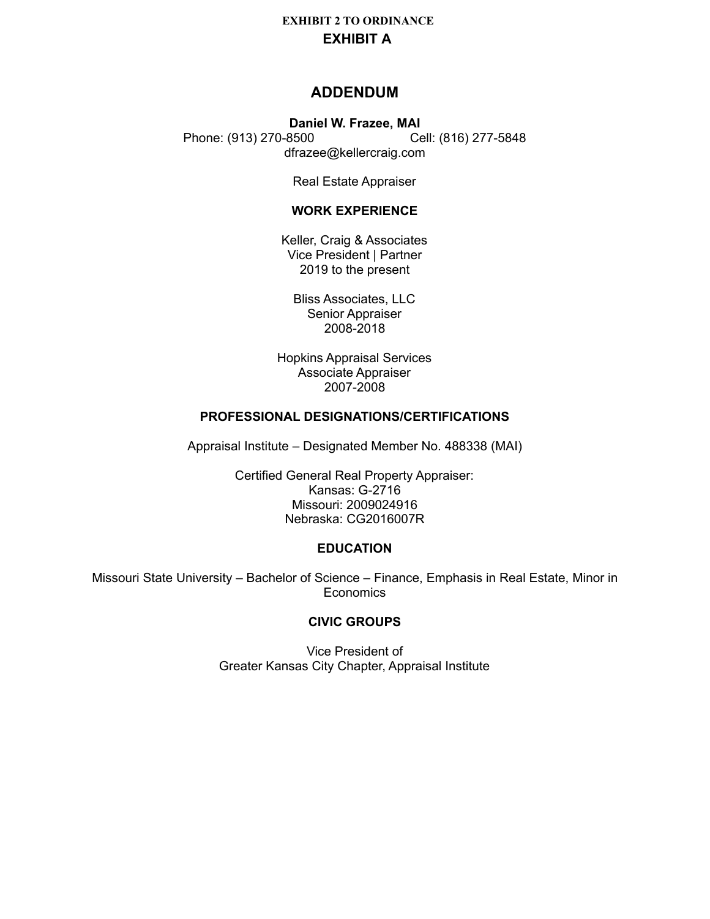## **ADDENDUM**

#### **Daniel W. Frazee, MAI** Phone: (913) 270-8500 Cell: (816) 277-5848 dfrazee@kellercraig.com

Real Estate Appraiser

### **WORK EXPERIENCE**

Keller, Craig & Associates Vice President | Partner 2019 to the present

Bliss Associates, LLC Senior Appraiser 2008-2018

Hopkins Appraisal Services Associate Appraiser 2007-2008

## **PROFESSIONAL DESIGNATIONS/CERTIFICATIONS**

Appraisal Institute – Designated Member No. 488338 (MAI)

Certified General Real Property Appraiser: Kansas: G-2716 Missouri: 2009024916 Nebraska: CG2016007R

#### **EDUCATION**

Missouri State University – Bachelor of Science – Finance, Emphasis in Real Estate, Minor in Economics

## **CIVIC GROUPS**

Vice President of Greater Kansas City Chapter, Appraisal Institute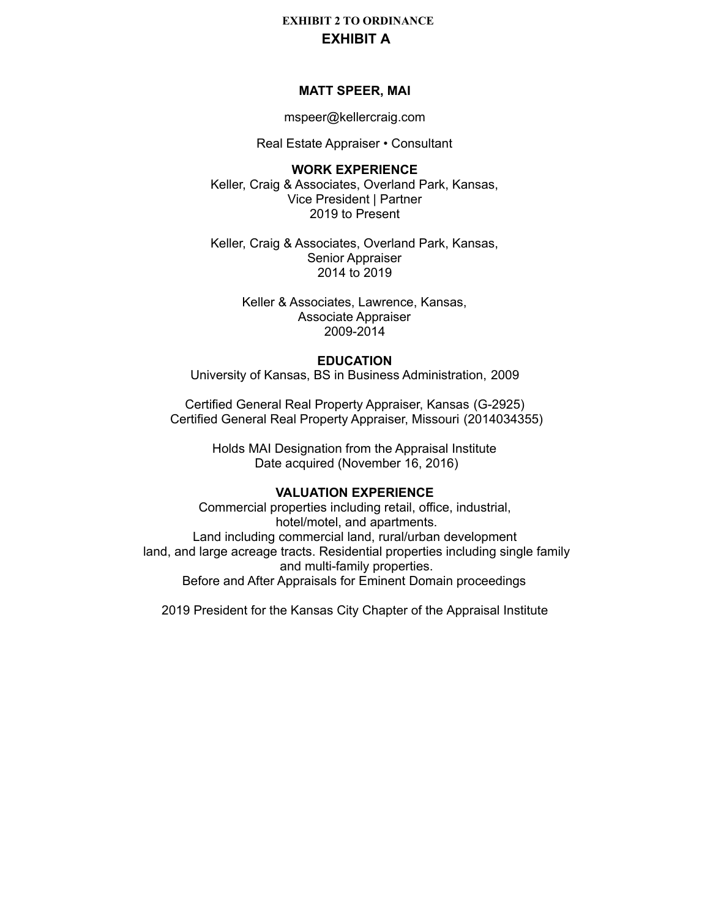#### **MATT SPEER, MAI**

mspeer@kellercraig.com

Real Estate Appraiser • Consultant

**WORK EXPERIENCE** Keller, Craig & Associates, Overland Park, Kansas, Vice President | Partner 2019 to Present

Keller, Craig & Associates, Overland Park, Kansas, Senior Appraiser 2014 to 2019

> Keller & Associates, Lawrence, Kansas, Associate Appraiser 2009-2014

#### **EDUCATION**

University of Kansas, BS in Business Administration, 2009

Certified General Real Property Appraiser, Kansas (G-2925) Certified General Real Property Appraiser, Missouri (2014034355)

> Holds MAI Designation from the Appraisal Institute Date acquired (November 16, 2016)

## **VALUATION EXPERIENCE**

Commercial properties including retail, office, industrial, hotel/motel, and apartments. Land including commercial land, rural/urban development land, and large acreage tracts. Residential properties including single family and multi-family properties. Before and After Appraisals for Eminent Domain proceedings

2019 President for the Kansas City Chapter of the Appraisal Institute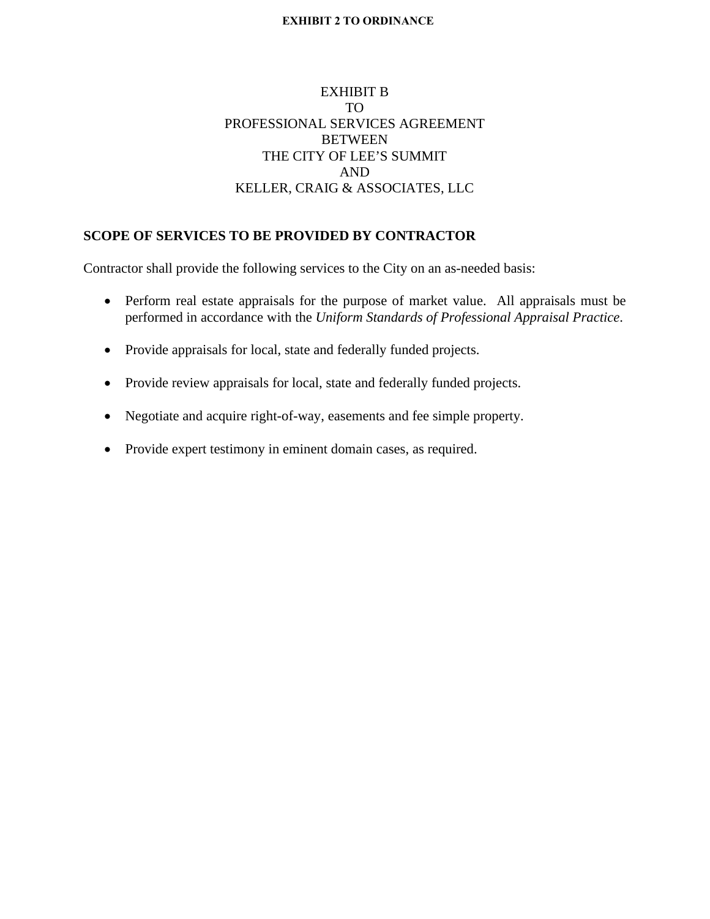## EXHIBIT B TO PROFESSIONAL SERVICES AGREEMENT BETWEEN THE CITY OF LEE'S SUMMIT AND KELLER, CRAIG & ASSOCIATES, LLC

## **SCOPE OF SERVICES TO BE PROVIDED BY CONTRACTOR**

Contractor shall provide the following services to the City on an as-needed basis:

- Perform real estate appraisals for the purpose of market value. All appraisals must be performed in accordance with the *Uniform Standards of Professional Appraisal Practice*.
- Provide appraisals for local, state and federally funded projects.
- Provide review appraisals for local, state and federally funded projects.
- Negotiate and acquire right-of-way, easements and fee simple property.
- Provide expert testimony in eminent domain cases, as required.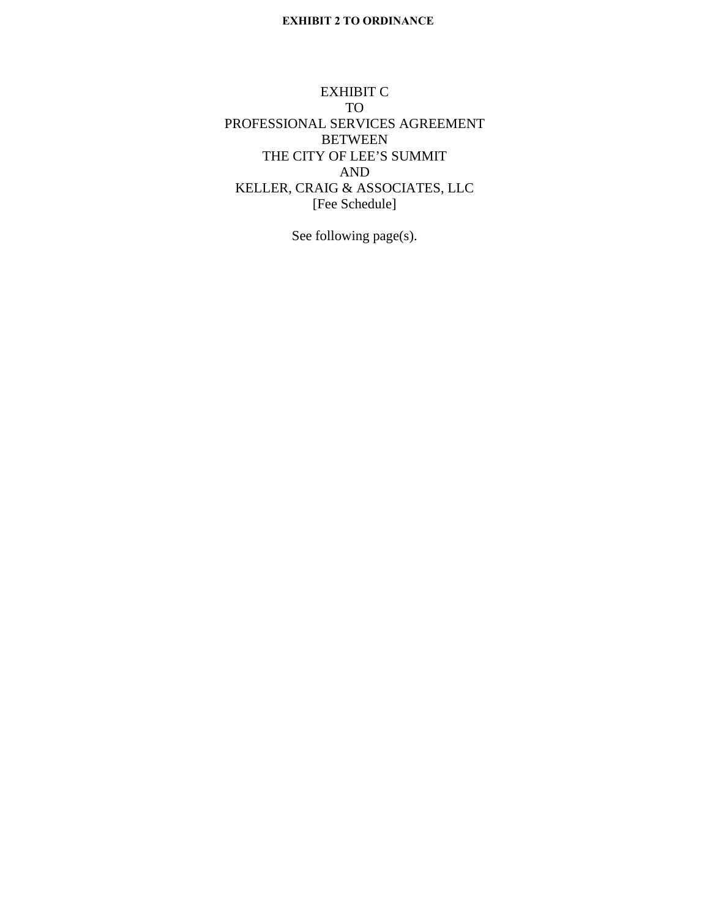EXHIBIT C TO PROFESSIONAL SERVICES AGREEMENT BETWEEN THE CITY OF LEE'S SUMMIT AND KELLER, CRAIG & ASSOCIATES, LLC [Fee Schedule]

See following page(s).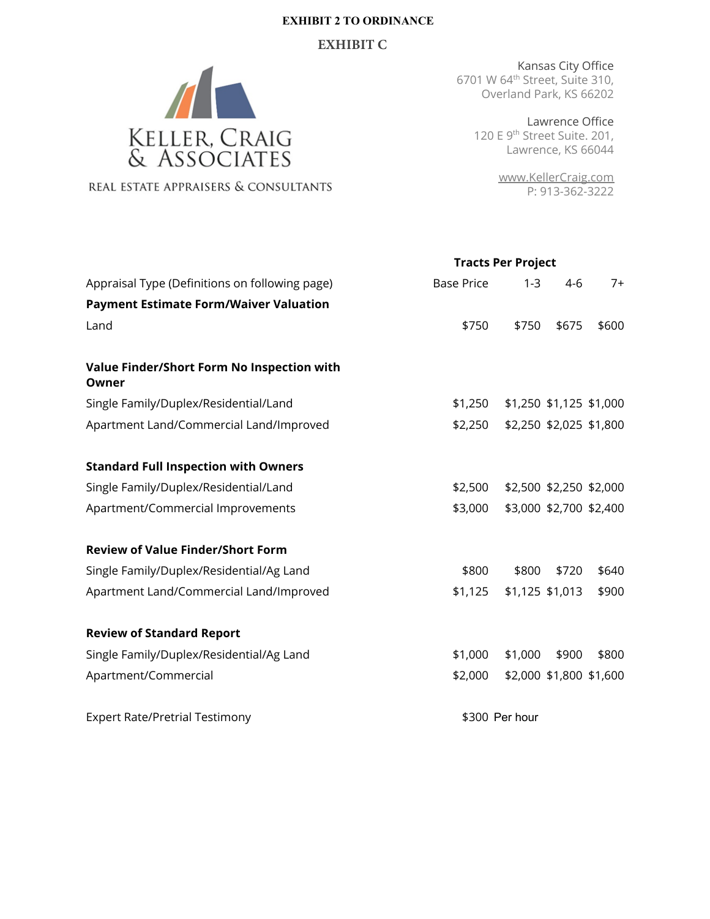### **EXHIBIT C**



REAL ESTATE APPRAISERS & CONSULTANTS

Kansas City Office 6701 W 64th Street, Suite 310, Overland Park, KS 66202

**Tracts Per Project**

Lawrence Office 120 E 9<sup>th</sup> Street Suite. 201, Lawrence, KS 66044

> [www.KellerCraig.com](http://www.kellercraig.com) P: 913-362-3222

| Appraisal Type (Definitions on following page)      | <b>Base Price</b> | $1 - 3$        | $4-6$                   | $7+$  |
|-----------------------------------------------------|-------------------|----------------|-------------------------|-------|
| <b>Payment Estimate Form/Waiver Valuation</b>       |                   |                |                         |       |
| Land                                                | \$750             | \$750          | \$675                   | \$600 |
|                                                     |                   |                |                         |       |
| Value Finder/Short Form No Inspection with<br>Owner |                   |                |                         |       |
| Single Family/Duplex/Residential/Land               | \$1,250           |                | \$1,250 \$1,125 \$1,000 |       |
| Apartment Land/Commercial Land/Improved             | \$2,250           |                | \$2,250 \$2,025 \$1,800 |       |
|                                                     |                   |                |                         |       |
| <b>Standard Full Inspection with Owners</b>         |                   |                |                         |       |
| Single Family/Duplex/Residential/Land               | \$2,500           |                | \$2,500 \$2,250 \$2,000 |       |
| Apartment/Commercial Improvements                   | \$3,000           |                | \$3,000 \$2,700 \$2,400 |       |
|                                                     |                   |                |                         |       |
| <b>Review of Value Finder/Short Form</b>            |                   |                |                         |       |
| Single Family/Duplex/Residential/Ag Land            | \$800             | \$800          | \$720                   | \$640 |
| Apartment Land/Commercial Land/Improved             | \$1,125           |                | \$1,125 \$1,013         | \$900 |
|                                                     |                   |                |                         |       |
| <b>Review of Standard Report</b>                    |                   |                |                         |       |
| Single Family/Duplex/Residential/Ag Land            | \$1,000           | \$1,000        | \$900                   | \$800 |
| Apartment/Commercial                                | \$2,000           |                | \$2,000 \$1,800 \$1,600 |       |
|                                                     |                   |                |                         |       |
| <b>Expert Rate/Pretrial Testimony</b>               |                   | \$300 Per hour |                         |       |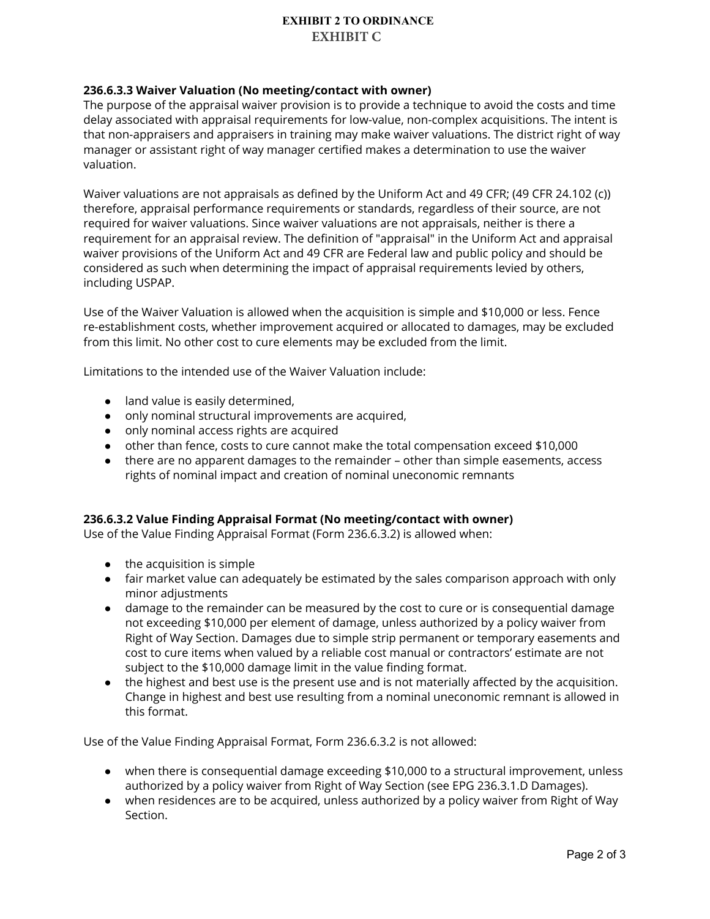### **236.6.3.3 Waiver Valuation (No meeting/contact with owner)**

The purpose of the appraisal waiver provision is to provide a technique to avoid the costs and time delay associated with appraisal requirements for low-value, non-complex acquisitions. The intent is that non-appraisers and appraisers in training may make waiver valuations. The district right of way manager or assistant right of way manager certified makes a determination to use the waiver valuation.

Waiver valuations are not appraisals as defined by the Uniform Act and 49 CFR; (49 CFR 24.102 (c)) therefore, appraisal performance requirements or standards, regardless of their source, are not required for waiver valuations. Since waiver valuations are not appraisals, neither is there a requirement for an appraisal review. The definition of "appraisal" in the Uniform Act and appraisal waiver provisions of the Uniform Act and 49 CFR are Federal law and public policy and should be considered as such when determining the impact of appraisal requirements levied by others, including USPAP.

Use of the Waiver Valuation is allowed when the acquisition is simple and \$10,000 or less. Fence re-establishment costs, whether improvement acquired or allocated to damages, may be excluded from this limit. No other cost to cure elements may be excluded from the limit.

Limitations to the intended use of the Waiver Valuation include:

- land value is easily determined,
- only nominal structural improvements are acquired,
- only nominal access rights are acquired
- other than fence, costs to cure cannot make the total compensation exceed \$10,000
- there are no apparent damages to the remainder other than simple easements, access rights of nominal impact and creation of nominal uneconomic remnants

#### **236.6.3.2 Value Finding Appraisal Format (No meeting/contact with owner)**

Use of the Value Finding Appraisal Format (Form 236.6.3.2) is allowed when:

- the acquisition is simple
- fair market value can adequately be estimated by the sales comparison approach with only minor adjustments
- damage to the remainder can be measured by the cost to cure or is consequential damage not exceeding \$10,000 per element of damage, unless authorized by a policy waiver from Right of Way Section. Damages due to simple strip permanent or temporary easements and cost to cure items when valued by a reliable cost manual or contractors' estimate are not subject to the \$10,000 damage limit in the value finding format.
- the highest and best use is the present use and is not materially affected by the acquisition. Change in highest and best use resulting from a nominal uneconomic remnant is allowed in this format.

Use of the Value Finding Appraisal Format, Form 236.6.3.2 is not allowed:

- when there is consequential damage exceeding \$10,000 to a structural improvement, unless authorized by a policy waiver from Right of Way Section (see EPG 236.3.1.D Damages).
- when residences are to be acquired, unless authorized by a policy waiver from Right of Way Section.